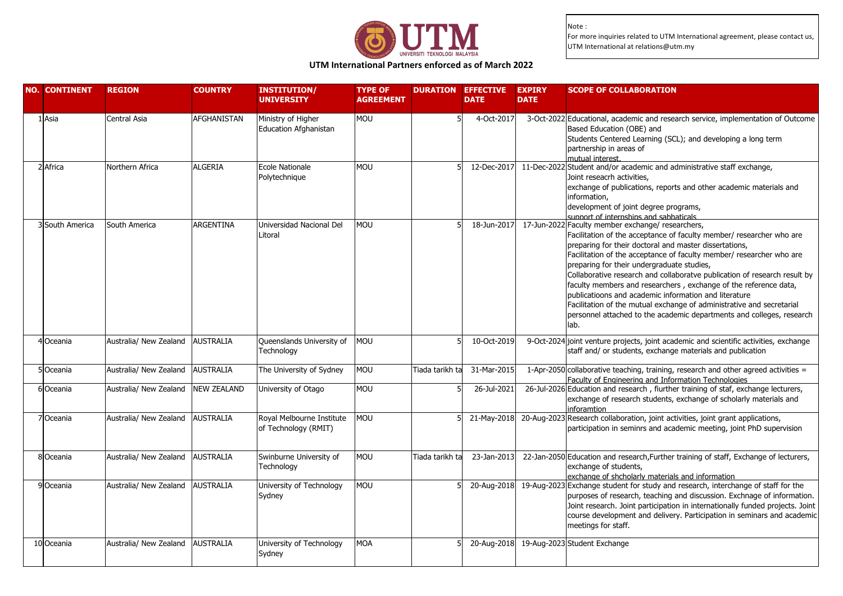

# **UTM International Partners enforced as of March 2022**

| <b>NO. CONTINENT</b> |                 | <b>REGION</b>                    | <b>COUNTRY</b>     | <b>INSTITUTION/</b><br><b>UNIVERSITY</b>           | <b>TYPE OF</b><br><b>AGREEMENT</b> | <b>DURATION</b> | <b>EFFECTIVE</b><br><b>DATE</b> | <b>EXPIRY</b><br><b>DATE</b> | <b>SCOPE OF COLLABORATION</b>                                                                                                                                                                                                                                                                                                                                                                                                                                                                                                                                                                                                                                                 |
|----------------------|-----------------|----------------------------------|--------------------|----------------------------------------------------|------------------------------------|-----------------|---------------------------------|------------------------------|-------------------------------------------------------------------------------------------------------------------------------------------------------------------------------------------------------------------------------------------------------------------------------------------------------------------------------------------------------------------------------------------------------------------------------------------------------------------------------------------------------------------------------------------------------------------------------------------------------------------------------------------------------------------------------|
| L Asia               |                 | <b>Central Asia</b>              | <b>AFGHANISTAN</b> | Ministry of Higher<br><b>Education Afghanistan</b> | MOU                                |                 | 4-Oct-2017                      |                              | 3-Oct-2022 Educational, academic and research service, implementation of Outcome<br>Based Education (OBE) and<br>Students Centered Learning (SCL); and developing a long term<br>partnership in areas of<br>mutual interest.                                                                                                                                                                                                                                                                                                                                                                                                                                                  |
| 2 Africa             |                 | Northern Africa                  | ALGERIA            | Ecole Nationale<br>Polytechnique                   | <b>MOU</b>                         |                 | 12-Dec-2017                     |                              | 11-Dec-2022 Student and/or academic and administrative staff exchange,<br>Joint reseacrh activities.<br>exchange of publications, reports and other academic materials and<br>information,<br>development of joint degree programs,<br>sunnort of internshins and sahhaticals                                                                                                                                                                                                                                                                                                                                                                                                 |
|                      | 3 South America | South America                    | ARGENTINA          | Universidad Nacional Del<br>Litoral                | <b>MOU</b>                         |                 | 18-Jun-2017                     |                              | 17-Jun-2022 Faculty member exchange/ researchers,<br>Facilitation of the acceptance of faculty member/ researcher who are<br>preparing for their doctoral and master dissertations,<br>Facilitation of the acceptance of faculty member/ researcher who are<br>preparing for their undergraduate studies,<br>Collaborative research and collaboratve publication of research result by<br>faculty members and researchers, exchange of the reference data,<br>publicatioons and academic information and literature<br>Facilitation of the mutual exchange of administrative and secretarial<br>personnel attached to the academic departments and colleges, research<br>lab. |
| 4 Oceania            |                 | Australia/ New Zealand           | <b>AUSTRALIA</b>   | Queenslands University of<br>Technology            | <b>MOU</b>                         |                 | 10-Oct-2019                     |                              | 9-Oct-2024 joint venture projects, joint academic and scientific activities, exchange<br>staff and/ or students, exchange materials and publication                                                                                                                                                                                                                                                                                                                                                                                                                                                                                                                           |
| 5Oceania             |                 | Australia/ New Zealand           | <b>AUSTRALIA</b>   | The University of Sydney                           | MOU                                | Tiada tarikh ta | 31-Mar-2015                     |                              | 1-Apr-2050 collaborative teaching, training, research and other agreed activities =<br>Faculty of Engineering and Information Technologies                                                                                                                                                                                                                                                                                                                                                                                                                                                                                                                                    |
| 6 Oceania            |                 | Australia/ New Zealand           | <b>NEW ZEALAND</b> | University of Otago                                | MOU                                |                 | 26-Jul-2021                     |                              | 26-Jul-2026 Education and research, fiurther training of staf, exchange lecturers,<br>exchange of research students, exchange of scholarly materials and<br>inforamtion                                                                                                                                                                                                                                                                                                                                                                                                                                                                                                       |
| 7Oceania             |                 | Australia/ New Zealand           | <b>AUSTRALIA</b>   | Royal Melbourne Institute<br>of Technology (RMIT)  | <b>MOU</b>                         |                 | 21-May-2018                     |                              | 20-Aug-2023 Research collaboration, joint activities, joint grant applications,<br>participation in seminrs and academic meeting, joint PhD supervision                                                                                                                                                                                                                                                                                                                                                                                                                                                                                                                       |
| 8 Oceania            |                 | Australia/ New Zealand           | <b>AUSTRALIA</b>   | Swinburne University of<br>Technology              | <b>MOU</b>                         | Tiada tarikh ta | 23-Jan-2013                     |                              | 22-Jan-2050 Education and research, Further training of staff, Exchange of lecturers,<br>exchange of students,<br>exchange of shcholarly materials and information                                                                                                                                                                                                                                                                                                                                                                                                                                                                                                            |
| 9 Oceania            |                 | Australia/ New Zealand           | <b>AUSTRALIA</b>   | University of Technology<br>Sydney                 | MOU                                |                 | 20-Aug-2018                     |                              | 19-Aug-2023 Exchange student for study and research, interchange of staff for the<br>purposes of research, teaching and discussion. Exchnage of information.<br>Joint research. Joint participation in internationally funded projects. Joint<br>course development and delivery. Participation in seminars and academic<br>meetings for staff.                                                                                                                                                                                                                                                                                                                               |
| 10 Oceania           |                 | Australia/ New Zealand AUSTRALIA |                    | University of Technology<br>Sydney                 | <b>MOA</b>                         |                 | 20-Aug-2018                     |                              | 19-Aug-2023 Student Exchange                                                                                                                                                                                                                                                                                                                                                                                                                                                                                                                                                                                                                                                  |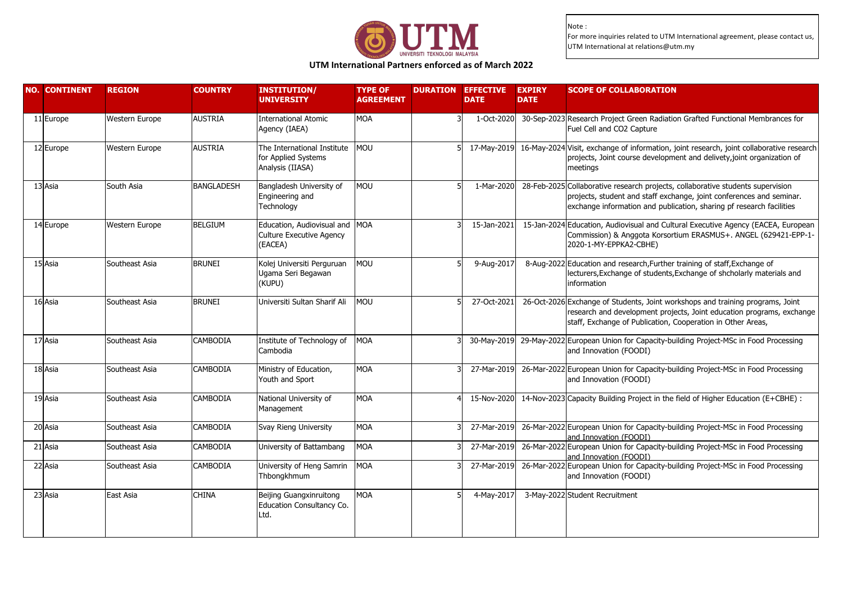

# **UTM International Partners enforced as of March 2022**

| <b>NO. CONTINENT</b> | <b>REGION</b>         | <b>COUNTRY</b>    | <b>INSTITUTION/</b><br><b>UNIVERSITY</b>                                     | <b>TYPE OF</b><br><b>AGREEMENT</b> | <b>DURATION EFFECTIVE</b><br><b>DATE</b> | <b>EXPIRY</b><br><b>DATE</b> | <b>SCOPE OF COLLABORATION</b>                                                                                                                                                                                                   |
|----------------------|-----------------------|-------------------|------------------------------------------------------------------------------|------------------------------------|------------------------------------------|------------------------------|---------------------------------------------------------------------------------------------------------------------------------------------------------------------------------------------------------------------------------|
| 11 Europe            | Western Europe        | <b>AUSTRIA</b>    | <b>International Atomic</b><br>Agency (IAEA)                                 | <b>MOA</b>                         | 1-Oct-2020                               |                              | 30-Sep-2023 Research Project Green Radiation Grafted Functional Membrances for<br>Fuel Cell and CO2 Capture                                                                                                                     |
| 12 Europe            | <b>Western Europe</b> | <b>AUSTRIA</b>    | The International Institute<br>for Applied Systems<br>Analysis (IIASA)       | <b>MOU</b>                         | 17-May-2019                              |                              | 16-May-2024 Visit, exchange of information, joint research, joint collaborative research<br>projects, Joint course development and delivety, joint organization of<br>meetings                                                  |
| 13 Asia              | South Asia            | <b>BANGLADESH</b> | Bangladesh University of<br>Engineering and<br>Technology                    | <b>MOU</b>                         | 1-Mar-2020                               |                              | 28-Feb-2025 Collaborative research projects, collaborative students supervision<br>projects, student and staff exchange, joint conferences and seminar.<br>exchange information and publication, sharing pf research facilities |
| 14 Europe            | Western Europe        | <b>BELGIUM</b>    | Education, Audiovisual and MOA<br><b>Culture Executive Agency</b><br>(EACEA) |                                    | 15-Jan-2021                              |                              | 15-Jan-2024 Education, Audiovisual and Cultural Executive Agency (EACEA, European<br>Commission) & Anggota Korsortium ERASMUS+. ANGEL (629421-EPP-1-<br>2020-1-MY-EPPKA2-CBHE)                                                  |
| 15 Asia              | Southeast Asia        | <b>BRUNEI</b>     | Kolej Universiti Perguruan<br>Ugama Seri Begawan<br>(KUPU)                   | <b>MOU</b>                         | 9-Aug-2017                               |                              | 8-Aug-2022 Education and research, Further training of staff, Exchange of<br>lecturers, Exchange of students, Exchange of shcholarly materials and<br>information                                                               |
| 16 Asia              | Southeast Asia        | <b>BRUNEI</b>     | Universiti Sultan Sharif Ali                                                 | <b>MOU</b>                         | 27-Oct-2021                              |                              | 26-Oct-2026 Exchange of Students, Joint workshops and training programs, Joint<br>research and development projects, Joint education programs, exchange<br>staff, Exchange of Publication, Cooperation in Other Areas,          |
| $17$ Asia            | Southeast Asia        | <b>CAMBODIA</b>   | Institute of Technology of<br>Cambodia                                       | <b>MOA</b>                         | 30-May-2019                              |                              | 29-May-2022 European Union for Capacity-building Project-MSc in Food Processing<br>and Innovation (FOODI)                                                                                                                       |
| 18 Asia              | Southeast Asia        | CAMBODIA          | Ministry of Education,<br>Youth and Sport                                    | <b>MOA</b>                         | 27-Mar-2019                              |                              | 26-Mar-2022 European Union for Capacity-building Project-MSc in Food Processing<br>and Innovation (FOODI)                                                                                                                       |
| 19 Asia              | Southeast Asia        | CAMBODIA          | National University of<br>Management                                         | <b>MOA</b>                         | 15-Nov-2020                              |                              | 14-Nov-2023 Capacity Building Project in the field of Higher Education (E+CBHE) :                                                                                                                                               |
| 20 Asia              | Southeast Asia        | <b>CAMBODIA</b>   | Svay Rieng University                                                        | <b>MOA</b>                         | 27-Mar-2019                              |                              | 26-Mar-2022 European Union for Capacity-building Project-MSc in Food Processing<br>and Innovation (FOODI)                                                                                                                       |
| 21 Asia              | Southeast Asia        | CAMBODIA          | University of Battambang                                                     | <b>MOA</b>                         | 27-Mar-2019                              |                              | 26-Mar-2022 European Union for Capacity-building Project-MSc in Food Processing<br>and Innovation (FOODI)                                                                                                                       |
| 22 Asia              | Southeast Asia        | CAMBODIA          | University of Heng Samrin<br>Thbongkhmum                                     | <b>MOA</b>                         | 27-Mar-2019                              |                              | 26-Mar-2022 European Union for Capacity-building Project-MSc in Food Processing<br>and Innovation (FOODI)                                                                                                                       |
| 23 Asia              | East Asia             | CHINA             | Beijing Guangxinruitong<br>Education Consultancy Co.<br>Ltd.                 | <b>MOA</b>                         | 4-May-2017                               |                              | 3-May-2022 Student Recruitment                                                                                                                                                                                                  |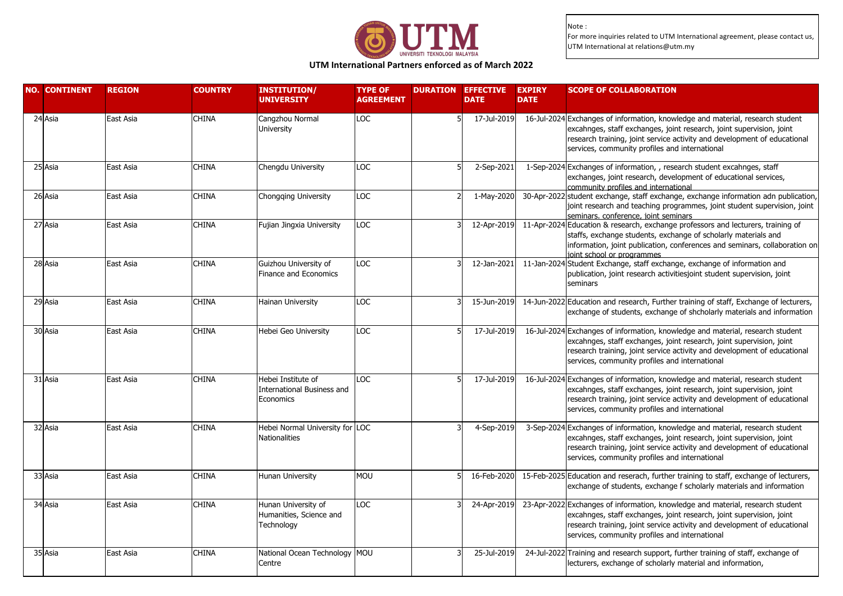

# **UTM International Partners enforced as of March 2022**

| <b>NO. CONTINENT</b> | <b>REGION</b> | <b>COUNTRY</b> | <b>INSTITUTION/</b><br><b>UNIVERSITY</b>                             | <b>TYPE OF</b><br><b>AGREEMENT</b> | <b>DURATION</b> | <b>EFFECTIVE</b><br><b>DATE</b> | <b>EXPIRY</b><br><b>DATE</b> | <b>SCOPE OF COLLABORATION</b>                                                                                                                                                                                                                                                        |
|----------------------|---------------|----------------|----------------------------------------------------------------------|------------------------------------|-----------------|---------------------------------|------------------------------|--------------------------------------------------------------------------------------------------------------------------------------------------------------------------------------------------------------------------------------------------------------------------------------|
| 24 Asia              | East Asia     | <b>CHINA</b>   | Cangzhou Normal<br>University                                        | LOC                                |                 | 17-Jul-2019                     |                              | 16-Jul-2024 Exchanges of information, knowledge and material, research student<br>excahnges, staff exchanges, joint research, joint supervision, joint<br>research training, joint service activity and development of educational<br>services, community profiles and international |
| 25 Asia              | East Asia     | <b>CHINA</b>   | Chengdu University                                                   | LOC                                |                 | 2-Sep-2021                      |                              | 1-Sep-2024 Exchanges of information, , research student excahnges, staff<br>exchanges, joint research, development of educational services,<br>community profiles and international                                                                                                  |
| 26 Asia              | East Asia     | <b>CHINA</b>   | Chongging University                                                 | LOC                                |                 | 1-May-2020                      |                              | 30-Apr-2022 student exchange, staff exchange, exchange information adn publication<br>joint research and teaching programmes, joint student supervision, joint<br>seminars, conference, joint seminars                                                                               |
| 27 Asia              | East Asia     | <b>CHINA</b>   | Fujian Jingxia University                                            | LOC                                |                 | 12-Apr-2019                     |                              | 11-Apr-2024 Education & research, exchange professors and lecturers, training of<br>staffs, exchange students, exchange of scholarly materials and<br>information, joint publication, conferences and seminars, collaboration on<br>joint school or programmes                       |
| 28 Asia              | East Asia     | <b>CHINA</b>   | Guizhou University of<br>Finance and Economics                       | LOC                                |                 | 12-Jan-2021                     |                              | 11-Jan-2024 Student Exchange, staff exchange, exchange of information and<br>publication, joint research activitiesjoint student supervision, joint<br>seminars                                                                                                                      |
| 29 Asia              | East Asia     | <b>CHINA</b>   | Hainan University                                                    | <b>LOC</b>                         |                 | 15-Jun-2019                     |                              | 14-Jun-2022 Education and research, Further training of staff, Exchange of lecturers,<br>exchange of students, exchange of shcholarly materials and information                                                                                                                      |
| 30 Asia              | East Asia     | <b>CHINA</b>   | Hebei Geo University                                                 | LOC                                |                 | 17-Jul-2019                     |                              | 16-Jul-2024 Exchanges of information, knowledge and material, research student<br>excahnges, staff exchanges, joint research, joint supervision, joint<br>research training, joint service activity and development of educational<br>services, community profiles and international |
| 31 Asia              | East Asia     | <b>CHINA</b>   | Hebei Institute of<br><b>International Business and</b><br>Economics | LOC                                |                 | 17-Jul-2019                     |                              | 16-Jul-2024 Exchanges of information, knowledge and material, research student<br>excahnges, staff exchanges, joint research, joint supervision, joint<br>research training, joint service activity and development of educational<br>services, community profiles and international |
| 32 Asia              | East Asia     | CHINA          | Hebei Normal University for LOC<br><b>Nationalities</b>              |                                    |                 | 4-Sep-2019                      |                              | 3-Sep-2024 Exchanges of information, knowledge and material, research student<br>excahnges, staff exchanges, joint research, joint supervision, joint<br>research training, joint service activity and development of educational<br>services, community profiles and international  |
| 33 Asia              | East Asia     | CHINA          | Hunan University                                                     | MOU                                |                 | 16-Feb-2020                     |                              | 15-Feb-2025 Education and reserach, further training to staff, exchange of lecturers,<br>exchange of students, exchange f scholarly materials and information                                                                                                                        |
| 34 Asia              | East Asia     | <b>CHINA</b>   | Hunan University of<br>Humanities, Science and<br>Technology         | LOC                                |                 | 24-Apr-2019                     |                              | 23-Apr-2022 Exchanges of information, knowledge and material, research student<br>excahnges, staff exchanges, joint research, joint supervision, joint<br>research training, joint service activity and development of educational<br>services, community profiles and international |
| 35 Asia              | East Asia     | CHINA          | National Ocean Technology MOU<br>Centre                              |                                    |                 | 25-Jul-2019                     |                              | 24-Jul-2022 Training and research support, further training of staff, exchange of<br>lecturers, exchange of scholarly material and information,                                                                                                                                      |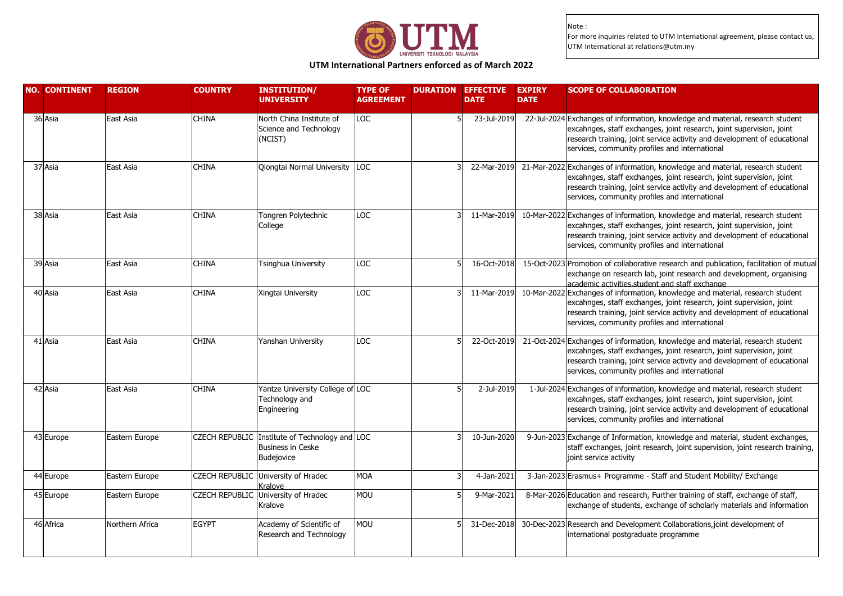

### **UTM International Partners enforced as of March 2022**

| <b>NO. CONTINENT</b> | <b>REGION</b>   | <b>COUNTRY</b>        | <b>INSTITUTION/</b><br><b>UNIVERSITY</b>                                                 | <b>TYPE OF</b><br><b>AGREEMENT</b> | <b>DURATION</b> | <b>EFFECTIVE</b><br><b>DATE</b> | <b>EXPIRY</b><br><b>DATE</b> | <b>SCOPE OF COLLABORATION</b>                                                                                                                                                                                                                                                        |
|----------------------|-----------------|-----------------------|------------------------------------------------------------------------------------------|------------------------------------|-----------------|---------------------------------|------------------------------|--------------------------------------------------------------------------------------------------------------------------------------------------------------------------------------------------------------------------------------------------------------------------------------|
| 36 Asia              | East Asia       | <b>CHINA</b>          | North China Institute of<br>Science and Technology<br>(NCIST)                            | <b>LOC</b>                         |                 | 23-Jul-2019                     |                              | 22-Jul-2024 Exchanges of information, knowledge and material, research student<br>excahnges, staff exchanges, joint research, joint supervision, joint<br>research training, joint service activity and development of educational<br>services, community profiles and international |
| 37 Asia              | East Asia       | <b>CHINA</b>          | Qiongtai Normal University                                                               | LOC                                |                 | 22-Mar-2019                     |                              | 21-Mar-2022 Exchanges of information, knowledge and material, research student<br>excahnges, staff exchanges, joint research, joint supervision, joint<br>research training, joint service activity and development of educational<br>services, community profiles and international |
| 38 Asia              | East Asia       | <b>CHINA</b>          | Tongren Polytechnic<br>College                                                           | LOC                                |                 | 11-Mar-2019                     |                              | 10-Mar-2022 Exchanges of information, knowledge and material, research student<br>excahnges, staff exchanges, joint research, joint supervision, joint<br>research training, joint service activity and development of educational<br>services, community profiles and international |
| 39 Asia              | East Asia       | <b>CHINA</b>          | Tsinghua University                                                                      | LOC                                |                 | 16-Oct-2018                     |                              | 15-Oct-2023 Promotion of collaborative research and publication, facilitation of mutual<br>exchange on research lab, joint research and development, organising<br>academic activities.student and staff exchange                                                                    |
| 40 Asia              | East Asia       | <b>CHINA</b>          | Xingtai University                                                                       | LOC                                |                 | 11-Mar-2019                     |                              | 10-Mar-2022 Exchanges of information, knowledge and material, research student<br>excahnges, staff exchanges, joint research, joint supervision, joint<br>research training, joint service activity and development of educational<br>services, community profiles and international |
| 41 Asia              | East Asia       | <b>CHINA</b>          | Yanshan University                                                                       | LOC                                |                 | 22-Oct-2019                     |                              | 21-Oct-2024 Exchanges of information, knowledge and material, research student<br>excahnges, staff exchanges, joint research, joint supervision, joint<br>research training, joint service activity and development of educational<br>services, community profiles and international |
| 42 Asia              | East Asia       | <b>CHINA</b>          | Yantze University College of LOC<br>Technology and<br>Engineering                        |                                    |                 | 2-Jul-2019                      |                              | 1-Jul-2024 Exchanges of information, knowledge and material, research student<br>excahnges, staff exchanges, joint research, joint supervision, joint<br>research training, joint service activity and development of educational<br>services, community profiles and international  |
| 43 Europe            | Eastern Europe  |                       | CZECH REPUBLIC Institute of Technology and LOC<br><b>Business in Ceske</b><br>Budejovice |                                    |                 | 10-Jun-2020                     |                              | 9-Jun-2023 Exchange of Information, knowledge and material, student exchanges,<br>staff exchanges, joint research, joint supervision, joint research training,<br>joint service activity                                                                                             |
| 44 Europe            | Eastern Europe  |                       | CZECH REPUBLIC University of Hradec<br>Kralove                                           | <b>MOA</b>                         |                 | 4-Jan-2021                      |                              | 3-Jan-2023 Erasmus+ Programme - Staff and Student Mobility/ Exchange                                                                                                                                                                                                                 |
| 45 Europe            | Eastern Europe  | <b>CZECH REPUBLIC</b> | University of Hradec<br>Kralove                                                          | <b>MOU</b>                         |                 | 9-Mar-2021                      |                              | 8-Mar-2026 Education and research, Further training of staff, exchange of staff,<br>exchange of students, exchange of scholarly materials and information                                                                                                                            |
| 46 Africa            | Northern Africa | <b>EGYPT</b>          | Academy of Scientific of<br>Research and Technology                                      | <b>MOU</b>                         |                 | 31-Dec-2018                     |                              | 30-Dec-2023 Research and Development Collaborations, joint development of<br>international postgraduate programme                                                                                                                                                                    |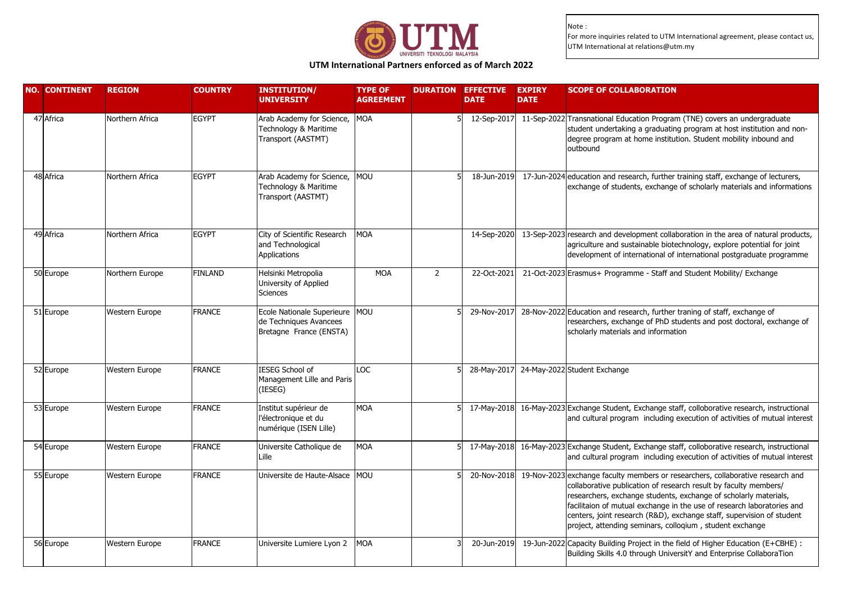

### **UTM International Partners enforced as of March 2022**

| <b>NO. CONTINENT</b> | <b>REGION</b>   | <b>COUNTRY</b> | <b>INSTITUTION/</b><br><b>UNIVERSITY</b>                                            | <b>TYPE OF</b><br><b>AGREEMENT</b> | <b>DURATION</b> | <b>EFFECTIVE</b><br><b>DATE</b> | <b>EXPIRY</b><br><b>DATE</b> | <b>SCOPE OF COLLABORATION</b>                                                                                                                                                                                                                                                                                                                                                                                                          |
|----------------------|-----------------|----------------|-------------------------------------------------------------------------------------|------------------------------------|-----------------|---------------------------------|------------------------------|----------------------------------------------------------------------------------------------------------------------------------------------------------------------------------------------------------------------------------------------------------------------------------------------------------------------------------------------------------------------------------------------------------------------------------------|
| 47 Africa            | Northern Africa | <b>EGYPT</b>   | Arab Academy for Science, MOA<br>Technology & Maritime<br>Transport (AASTMT)        |                                    |                 | 12-Sep-2017                     |                              | 11-Sep-2022 Transnational Education Program (TNE) covers an undergraduate<br>student undertaking a graduating program at host institution and non-<br>degree program at home institution. Student mobility inbound and<br>outbound                                                                                                                                                                                                     |
| 48 Africa            | Northern Africa | <b>EGYPT</b>   | Arab Academy for Science, MOU<br>Technology & Maritime<br>Transport (AASTMT)        |                                    |                 | 18-Jun-2019                     |                              | 17-Jun-2024 education and research, further training staff, exchange of lecturers,<br>exchange of students, exchange of scholarly materials and informations                                                                                                                                                                                                                                                                           |
| 49 Africa            | Northern Africa | <b>EGYPT</b>   | City of Scientific Research<br>and Technological<br><b>Applications</b>             | <b>MOA</b>                         |                 | 14-Sep-2020                     |                              | 13-Sep-2023 research and development collaboration in the area of natural products,<br>agriculture and sustainable biotechnology, explore potential for joint<br>development of international of international postgraduate programme                                                                                                                                                                                                  |
| 50 Europe            | Northern Europe | <b>FINLAND</b> | Helsinki Metropolia<br>University of Applied<br><b>Sciences</b>                     | <b>MOA</b>                         | 2               | 22-Oct-2021                     |                              | 21-Oct-2023 Erasmus+ Programme - Staff and Student Mobility/ Exchange                                                                                                                                                                                                                                                                                                                                                                  |
| 51 Europe            | Western Europe  | <b>FRANCE</b>  | Ecole Nationale Superieure MOU<br>de Techniques Avancees<br>Bretagne France (ENSTA) |                                    |                 | 29-Nov-2017                     |                              | 28-Nov-2022 Education and research, further traning of staff, exchange of<br>researchers, exchange of PhD students and post doctoral, exchange of<br>scholarly materials and information                                                                                                                                                                                                                                               |
| 52 Europe            | Western Europe  | <b>FRANCE</b>  | <b>IESEG School of</b><br>Management Lille and Paris<br>(IESEG)                     | <b>LOC</b>                         |                 | 28-May-2017                     |                              | 24-May-2022 Student Exchange                                                                                                                                                                                                                                                                                                                                                                                                           |
| 53 Europe            | Western Europe  | <b>FRANCE</b>  | Institut supérieur de<br>l'électronique et du<br>numérique (ISEN Lille)             | <b>MOA</b>                         |                 | 17-May-2018                     |                              | 16-May-2023 Exchange Student, Exchange staff, colloborative research, instructional<br>and cultural program including execution of activities of mutual interest                                                                                                                                                                                                                                                                       |
| 54 Europe            | Western Europe  | <b>FRANCE</b>  | Universite Catholique de<br>Lille                                                   | <b>MOA</b>                         |                 | 17-May-2018                     |                              | 16-May-2023 Exchange Student, Exchange staff, colloborative research, instructional<br>and cultural program including execution of activities of mutual interest                                                                                                                                                                                                                                                                       |
| 55 Europe            | Western Europe  | <b>FRANCE</b>  | Universite de Haute-Alsace MOU                                                      |                                    |                 | 20-Nov-2018                     |                              | 19-Nov-2023 exchange faculty members or researchers, collaborative research and<br>collaborative publication of research result by faculty members/<br>researchers, exchange students, exchange of scholarly materials,<br>facilitaion of mutual exchange in the use of research laboratories and<br>centers, joint research (R&D), exchange staff, supervision of student<br>project, attending seminars, colloqium, student exchange |
| 56 Europe            | Western Europe  | <b>FRANCE</b>  | Universite Lumiere Lyon 2                                                           | <b>MOA</b>                         |                 | 20-Jun-2019                     |                              | 19-Jun-2022 Capacity Building Project in the field of Higher Education (E+CBHE) :<br>Building Skills 4.0 through UniversitY and Enterprise CollaboraTion                                                                                                                                                                                                                                                                               |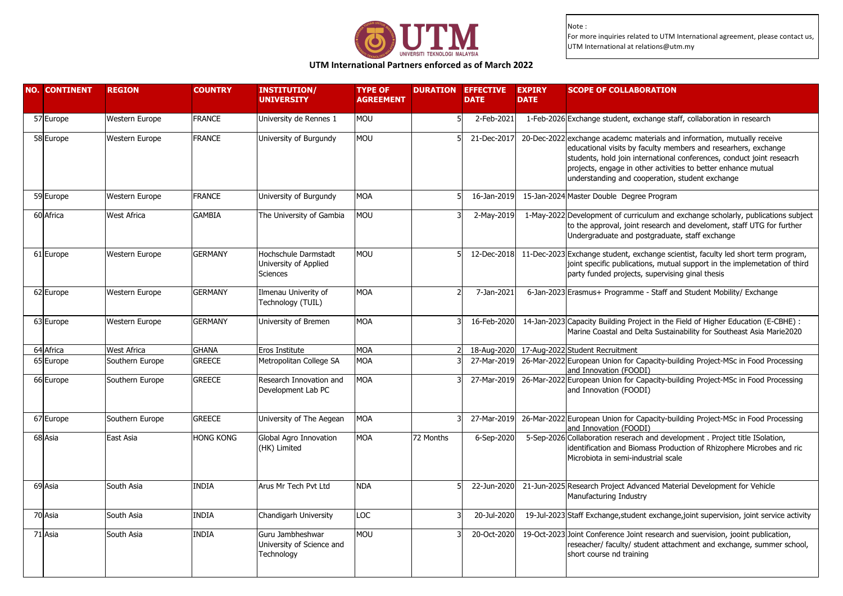

# **UTM International Partners enforced as of March 2022**

| <b>NO. CONTINENT</b> | <b>REGION</b>      | <b>COUNTRY</b>   | <b>INSTITUTION/</b><br><b>UNIVERSITY</b>                         | <b>TYPE OF</b><br><b>AGREEMENT</b> |           | <b>DURATION EFFECTIVE</b><br><b>DATE</b> | <b>EXPIRY</b><br><b>DATE</b> | <b>SCOPE OF COLLABORATION</b>                                                                                                                                                                                                                                                                                                           |
|----------------------|--------------------|------------------|------------------------------------------------------------------|------------------------------------|-----------|------------------------------------------|------------------------------|-----------------------------------------------------------------------------------------------------------------------------------------------------------------------------------------------------------------------------------------------------------------------------------------------------------------------------------------|
| 57 Europe            | Western Europe     | <b>FRANCE</b>    | University de Rennes 1                                           | <b>MOU</b>                         |           | 2-Feb-2021                               |                              | 1-Feb-2026 Exchange student, exchange staff, collaboration in research                                                                                                                                                                                                                                                                  |
| 58 Europe            | Western Europe     | <b>FRANCE</b>    | University of Burgundy                                           | MOU                                |           | 21-Dec-2017                              |                              | 20-Dec-2022 exchange academc materials and information, mutually receive<br>educational visits by faculty members and researhers, exchange<br>students, hold join international conferences, conduct joint reseacrh<br>projects, engage in other activities to better enhance mutual<br>understanding and cooperation, student exchange |
| 59 Europe            | Western Europe     | <b>FRANCE</b>    | University of Burgundy                                           | <b>MOA</b>                         |           | 16-Jan-2019                              |                              | 15-Jan-2024 Master Double Degree Program                                                                                                                                                                                                                                                                                                |
| 60 Africa            | West Africa        | <b>GAMBIA</b>    | The University of Gambia                                         | MOU                                |           | 2-May-2019                               |                              | 1-May-2022 Development of curriculum and exchange scholarly, publications subject<br>to the approval, joint research and develoment, staff UTG for further<br>Undergraduate and postgraduate, staff exchange                                                                                                                            |
| 61 Europe            | Western Europe     | <b>GERMANY</b>   | Hochschule Darmstadt<br>University of Applied<br><b>Sciences</b> | MOU                                |           | 12-Dec-2018                              |                              | 11-Dec-2023 Exchange student, exchange scientist, faculty led short term program,<br>joint specific publications, mutual support in the implemetation of third<br>party funded projects, supervising ginal thesis                                                                                                                       |
| 62 Europe            | Western Europe     | <b>GERMANY</b>   | Ilmenau Univerity of<br>Technology (TUIL)                        | <b>MOA</b>                         |           | 7-Jan-2021                               |                              | 6-Jan-2023 Erasmus+ Programme - Staff and Student Mobility/ Exchange                                                                                                                                                                                                                                                                    |
| 63 Europe            | Western Europe     | <b>GERMANY</b>   | University of Bremen                                             | <b>MOA</b>                         |           | 16-Feb-2020                              |                              | 14-Jan-2023 Capacity Building Project in the Field of Higher Education (E-CBHE) :<br>Marine Coastal and Delta Sustainability for Southeast Asia Marie2020                                                                                                                                                                               |
| 64 Africa            | <b>West Africa</b> | <b>GHANA</b>     | Eros Institute                                                   | <b>MOA</b>                         |           |                                          |                              | 18-Aug-2020 17-Aug-2022 Student Recruitment                                                                                                                                                                                                                                                                                             |
| 65 Europe            | Southern Europe    | <b>GREECE</b>    | Metropolitan College SA                                          | <b>MOA</b>                         |           | 27-Mar-2019                              |                              | 26-Mar-2022 European Union for Capacity-building Project-MSc in Food Processing<br>and Innovation (FOODI)                                                                                                                                                                                                                               |
| 66 Europe            | Southern Europe    | <b>GREECE</b>    | Research Innovation and<br>Development Lab PC                    | <b>MOA</b>                         |           | 27-Mar-2019                              |                              | 26-Mar-2022 European Union for Capacity-building Project-MSc in Food Processing<br>and Innovation (FOODI)                                                                                                                                                                                                                               |
| 67 Europe            | Southern Europe    | GREECE           | University of The Aegean                                         | <b>MOA</b>                         |           | 27-Mar-2019                              |                              | 26-Mar-2022 European Union for Capacity-building Project-MSc in Food Processing<br>and Innovation (FOODI)                                                                                                                                                                                                                               |
| 68 Asia              | East Asia          | <b>HONG KONG</b> | Global Agro Innovation<br>(HK) Limited                           | MOA                                | 72 Months | 6-Sep-2020                               |                              | 5-Sep-2026 Collaboration reserach and development . Project title ISolation,<br>identification and Biomass Production of Rhizophere Microbes and ric<br>Microbiota in semi-industrial scale                                                                                                                                             |
| 69 Asia              | South Asia         | <b>INDIA</b>     | Arus Mr Tech Pvt Ltd                                             | <b>NDA</b>                         |           | 22-Jun-2020                              |                              | 21-Jun-2025 Research Project Advanced Material Development for Vehicle<br>Manufacturing Industry                                                                                                                                                                                                                                        |
| 70 Asia              | South Asia         | <b>INDIA</b>     | Chandigarh University                                            | <b>LOC</b>                         |           | 20-Jul-2020                              |                              | 19-Jul-2023 Staff Exchange, student exchange, joint supervision, joint service activity                                                                                                                                                                                                                                                 |
| 71 Asia              | South Asia         | <b>INDIA</b>     | Guru Jambheshwar<br>University of Science and<br>Technology      | <b>MOU</b>                         |           | 20-Oct-2020                              |                              | 19-Oct-2023 Joint Conference Joint research and suervision, jooint publication,<br>reseacher/ faculty/ student attachment and exchange, summer school,<br>short course nd training                                                                                                                                                      |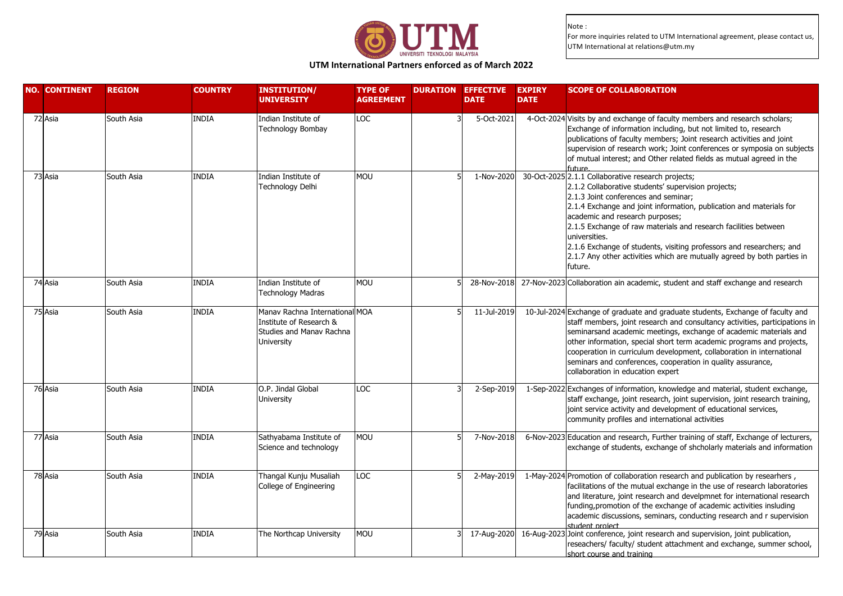

### **UTM International Partners enforced as of March 2022**

| <b>NO. CONTINENT</b> | <b>REGION</b> | <b>COUNTRY</b> | <b>INSTITUTION/</b><br><b>UNIVERSITY</b>                                                                   | <b>TYPE OF</b><br><b>AGREEMENT</b> | <b>DURATION EFFECTIVE</b><br><b>DATE</b> | <b>EXPIRY</b><br><b>DATE</b> | <b>SCOPE OF COLLABORATION</b>                                                                                                                                                                                                                                                                                                                                                                                                                                                                                 |
|----------------------|---------------|----------------|------------------------------------------------------------------------------------------------------------|------------------------------------|------------------------------------------|------------------------------|---------------------------------------------------------------------------------------------------------------------------------------------------------------------------------------------------------------------------------------------------------------------------------------------------------------------------------------------------------------------------------------------------------------------------------------------------------------------------------------------------------------|
| 72 Asia              | South Asia    | <b>INDIA</b>   | Indian Institute of<br>Technology Bombay                                                                   | <b>LOC</b>                         | 5-Oct-2021                               |                              | 4-Oct-2024 Visits by and exchange of faculty members and research scholars;<br>Exchange of information including, but not limited to, research<br>publications of faculty members; Joint research activities and joint<br>supervision of research work; Joint conferences or symposia on subjects<br>of mutual interest; and Other related fields as mutual agreed in the<br>future                                                                                                                           |
| 73 Asia              | South Asia    | <b>INDIA</b>   | Indian Institute of<br>Technology Delhi                                                                    | <b>MOU</b>                         | 1-Nov-2020                               |                              | 30-Oct-2025 2.1.1 Collaborative research projects;<br>2.1.2 Collaborative students' supervision projects;<br>2.1.3 Joint conferences and seminar;<br>2.1.4 Exchange and joint information, publication and materials for<br>academic and research purposes;<br>2.1.5 Exchange of raw materials and research facilities between<br>universities.<br>2.1.6 Exchange of students, visiting professors and researchers; and<br>2.1.7 Any other activities which are mutually agreed by both parties in<br>future. |
| 74 Asia              | South Asia    | <b>INDIA</b>   | Indian Institute of<br><b>Technology Madras</b>                                                            | <b>MOU</b>                         | 28-Nov-2018                              |                              | 27-Nov-2023 Collaboration ain academic, student and staff exchange and research                                                                                                                                                                                                                                                                                                                                                                                                                               |
| 75 Asia              | South Asia    | <b>INDIA</b>   | Manav Rachna International MOA<br>Institute of Research &<br>Studies and Manav Rachna<br><b>University</b> |                                    | 11-Jul-2019                              |                              | 10-Jul-2024 Exchange of graduate and graduate students, Exchange of faculty and<br>staff members, joint research and consultancy activities, participations in<br>seminarsand academic meetings, exchange of academic materials and<br>other information, special short term academic programs and projects,<br>cooperation in curriculum development, collaboration in international<br>seminars and conferences, cooperation in quality assurance,<br>collaboration in education expert                     |
| 76 Asia              | South Asia    | <b>INDIA</b>   | O.P. Jindal Global<br><b>University</b>                                                                    | LOC                                | 2-Sep-2019                               |                              | 1-Sep-2022 Exchanges of information, knowledge and material, student exchange,<br>staff exchange, joint research, joint supervision, joint research training,<br>joint service activity and development of educational services,<br>community profiles and international activities                                                                                                                                                                                                                           |
| 77 Asia              | South Asia    | <b>INDIA</b>   | Sathyabama Institute of<br>Science and technology                                                          | MOU                                | 7-Nov-2018                               |                              | 6-Nov-2023 Education and research, Further training of staff, Exchange of lecturers,<br>exchange of students, exchange of shcholarly materials and information                                                                                                                                                                                                                                                                                                                                                |
| 78 Asia              | South Asia    | <b>INDIA</b>   | Thangal Kunju Musaliah<br>College of Engineering                                                           | LOC                                | 2-May-2019                               |                              | 1-May-2024 Promotion of collaboration research and publication by researhers,<br>facilitations of the mutual exchange in the use of research laboratories<br>and literature, joint research and develpmnet for international research<br>funding, promotion of the exchange of academic activities insluding<br>academic discussions, seminars, conducting research and r supervision<br>student project                                                                                                      |
| 79 Asia              | South Asia    | <b>INDIA</b>   | The Northcap University                                                                                    | MOU                                |                                          |                              | 17-Aug-2020 16-Aug-2023 Joint conference, joint research and supervision, joint publication,<br>reseachers/ faculty/ student attachment and exchange, summer school,<br>short course and training                                                                                                                                                                                                                                                                                                             |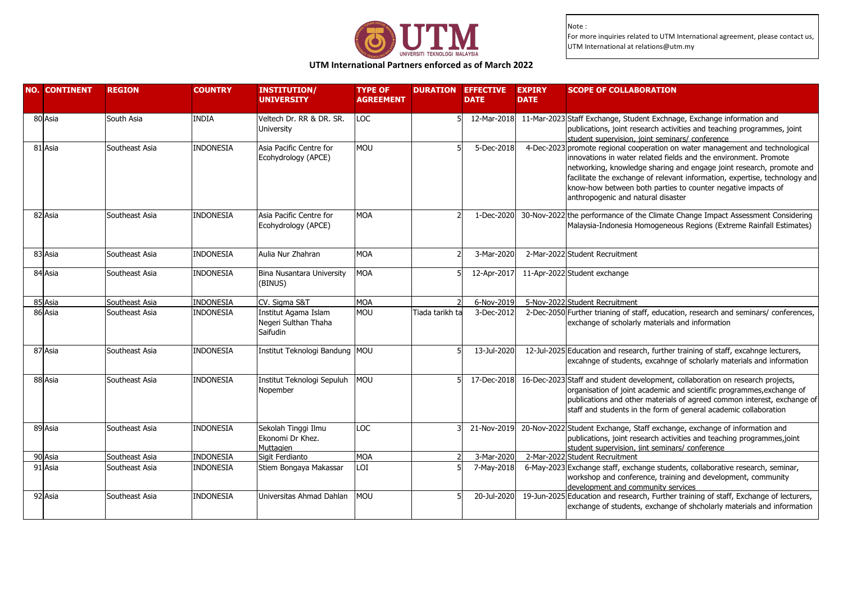

**UTM International Partners enforced as of March 2022**

| <b>NO. CONTINENT</b> | <b>REGION</b>  | <b>COUNTRY</b>   | <b>INSTITUTION/</b><br><b>UNIVERSITY</b>                 | <b>TYPE OF</b><br><b>AGREEMENT</b> |                 | <b>DURATION EFFECTIVE</b><br><b>DATE</b> | <b>EXPIRY</b><br><b>SCOPE OF COLLABORATION</b><br><b>DATE</b>                                                                                                                                                                                                                                                                                                                                                 |
|----------------------|----------------|------------------|----------------------------------------------------------|------------------------------------|-----------------|------------------------------------------|---------------------------------------------------------------------------------------------------------------------------------------------------------------------------------------------------------------------------------------------------------------------------------------------------------------------------------------------------------------------------------------------------------------|
| 80 Asia              | South Asia     | <b>INDIA</b>     | Veltech Dr. RR & DR. SR.<br>University                   | LOC                                |                 | 12-Mar-2018                              | 11-Mar-2023 Staff Exchange, Student Exchnage, Exchange information and<br>publications, joint research activities and teaching programmes, joint<br>student supervision, joint seminars/ conference                                                                                                                                                                                                           |
| 81 Asia              | Southeast Asia | <b>INDONESIA</b> | Asia Pacific Centre for<br>Ecohydrology (APCE)           | <b>MOU</b>                         |                 | 5-Dec-2018                               | 4-Dec-2023 promote regional cooperation on water management and technological<br>innovations in water related fields and the environment. Promote<br>networking, knowledge sharing and engage joint research, promote and<br>facilitate the exchange of relevant information, expertise, technology and<br>know-how between both parties to counter negative impacts of<br>anthropogenic and natural disaster |
| 82 Asia              | Southeast Asia | INDONESIA        | Asia Pacific Centre for<br>Ecohydrology (APCE)           | <b>MOA</b>                         |                 | 1-Dec-2020                               | 30-Nov-2022 the performance of the Climate Change Impact Assessment Considering<br>Malaysia-Indonesia Homogeneous Regions (Extreme Rainfall Estimates)                                                                                                                                                                                                                                                        |
| 83 Asia              | Southeast Asia | INDONESIA        | Aulia Nur Zhahran                                        | <b>MOA</b>                         |                 | 3-Mar-2020                               | 2-Mar-2022 Student Recruitment                                                                                                                                                                                                                                                                                                                                                                                |
| 84 Asia              | Southeast Asia | <b>INDONESIA</b> | Bina Nusantara University<br>(BINUS)                     | <b>MOA</b>                         |                 | 12-Apr-2017                              | 11-Apr-2022 Student exchange                                                                                                                                                                                                                                                                                                                                                                                  |
| 85 Asia              | Southeast Asia | <b>INDONESIA</b> | CV. Sigma S&T                                            | <b>MOA</b>                         |                 | 6-Nov-2019                               | 5-Nov-2022 Student Recruitment                                                                                                                                                                                                                                                                                                                                                                                |
| 86 Asia              | Southeast Asia | <b>INDONESIA</b> | Institut Agama Islam<br>Negeri Sulthan Thaha<br>Saifudin | <b>MOU</b>                         | Tiada tarikh ta | 3-Dec-2012                               | 2-Dec-2050 Further trianing of staff, education, research and seminars/ conferences,<br>exchange of scholarly materials and information                                                                                                                                                                                                                                                                       |
| 87 Asia              | Southeast Asia | <b>INDONESIA</b> | Institut Teknologi Bandung MOU                           |                                    |                 | 13-Jul-2020                              | 12-Jul-2025 Education and research, further training of staff, excahnge lecturers,<br>excahnge of students, excahnge of scholarly materials and information                                                                                                                                                                                                                                                   |
| 88 Asia              | Southeast Asia | INDONESIA        | Institut Teknologi Sepuluh<br>Nopember                   | <b>MOU</b>                         |                 | 17-Dec-2018                              | 16-Dec-2023 Staff and student development, collaboration on research projects,<br>organisation of joint academic and scientific programmes, exchange of<br>publications and other materials of agreed common interest, exchange of<br>staff and students in the form of general academic collaboration                                                                                                        |
| 89 Asia              | Southeast Asia | <b>INDONESIA</b> | Sekolah Tinggi Ilmu<br>Ekonomi Dr Khez.<br>Muttagien     | LOC                                |                 | 21-Nov-2019                              | 20-Nov-2022 Student Exchange, Staff exchange, exchange of information and<br>publications, joint research activities and teaching programmes,joint<br>student supervision, jint seminars/ conference                                                                                                                                                                                                          |
| 90 Asia              | Southeast Asia | <b>INDONESIA</b> | Sigit Ferdianto                                          | <b>MOA</b>                         |                 | 3-Mar-2020                               | 2-Mar-2022 Student Recruitment                                                                                                                                                                                                                                                                                                                                                                                |
| 91 Asia              | Southeast Asia | <b>INDONESIA</b> | Stiem Bongaya Makassar                                   | LOI                                |                 | 7-May-2018                               | 6-May-2023 Exchange staff, exchange students, collaborative research, seminar,<br>workshop and conference, training and development, community<br>development and community services                                                                                                                                                                                                                          |
| 92 Asia              | Southeast Asia | <b>INDONESIA</b> | Universitas Ahmad Dahlan                                 | <b>MOU</b>                         |                 | 20-Jul-2020                              | 19-Jun-2025 Education and research, Further training of staff, Exchange of lecturers,<br>exchange of students, exchange of shcholarly materials and information                                                                                                                                                                                                                                               |
|                      |                |                  |                                                          |                                    |                 |                                          |                                                                                                                                                                                                                                                                                                                                                                                                               |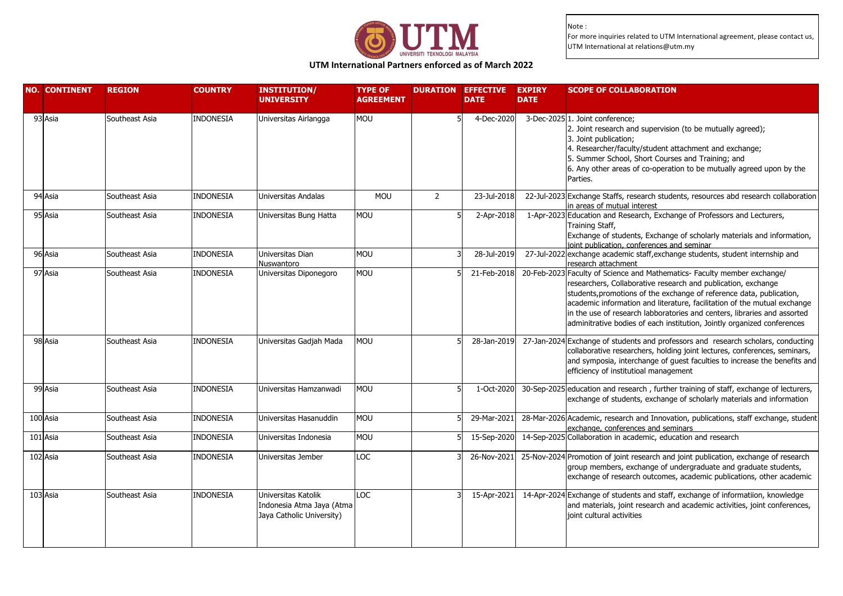

# **UTM International Partners enforced as of March 2022**

| <b>NO. CONTINENT</b> | <b>REGION</b>  | <b>COUNTRY</b>   | <b>INSTITUTION/</b><br><b>UNIVERSITY</b>                                      | <b>TYPE OF</b><br><b>AGREEMENT</b> | <b>DURATION EFFECTIVE</b> | <b>DATE</b> | <b>EXPIRY</b><br><b>DATE</b> | <b>SCOPE OF COLLABORATION</b>                                                                                                                                                                                                                                                                                                                                                                                                                        |
|----------------------|----------------|------------------|-------------------------------------------------------------------------------|------------------------------------|---------------------------|-------------|------------------------------|------------------------------------------------------------------------------------------------------------------------------------------------------------------------------------------------------------------------------------------------------------------------------------------------------------------------------------------------------------------------------------------------------------------------------------------------------|
| 93 Asia              | Southeast Asia | <b>INDONESIA</b> | Universitas Airlangga                                                         | <b>MOU</b>                         |                           | 4-Dec-2020  |                              | 3-Dec-2025 1. Joint conference;<br>2. Joint research and supervision (to be mutually agreed);<br>3. Joint publication;<br>4. Researcher/faculty/student attachment and exchange;<br>5. Summer School, Short Courses and Training; and<br>6. Any other areas of co-operation to be mutually agreed upon by the<br>Parties.                                                                                                                            |
| 94 Asia              | Southeast Asia | <b>INDONESIA</b> | Universitas Andalas                                                           | <b>MOU</b>                         | $\overline{2}$            | 23-Jul-2018 |                              | 22-Jul-2023 Exchange Staffs, research students, resources abd research collaboration<br>in areas of mutual interest                                                                                                                                                                                                                                                                                                                                  |
| 95 Asia              | Southeast Asia | <b>INDONESIA</b> | Universitas Bung Hatta                                                        | MOU                                |                           | 2-Apr-2018  |                              | 1-Apr-2023 Education and Research, Exchange of Professors and Lecturers,<br>Training Staff,<br>Exchange of students, Exchange of scholarly materials and information,<br>joint publication, conferences and seminar                                                                                                                                                                                                                                  |
| 96 Asia              | Southeast Asia | <b>INDONESIA</b> | Universitas Dian<br>Nuswantoro                                                | <b>MOU</b>                         |                           | 28-Jul-2019 |                              | 27-Jul-2022 exchange academic staff, exchange students, student internship and<br>research attachment                                                                                                                                                                                                                                                                                                                                                |
| $\overline{97}$ Asia | Southeast Asia | <b>INDONESIA</b> | Universitas Diponegoro                                                        | MOU                                |                           | 21-Feb-2018 |                              | 20-Feb-2023 Faculty of Science and Mathematics- Faculty member exchange/<br>researchers, Collaborative research and publication, exchange<br>students, promotions of the exchange of reference data, publication,<br>academic information and literature, facilitation of the mutual exchange<br>in the use of research labboratories and centers, libraries and assorted<br>adminitrative bodies of each institution, Jointly organized conferences |
| 98 Asia              | Southeast Asia | <b>INDONESIA</b> | Universitas Gadjah Mada                                                       | <b>MOU</b>                         |                           | 28-Jan-2019 |                              | 27-Jan-2024 Exchange of students and professors and research scholars, conducting<br>collaborative researchers, holding joint lectures, conferences, seminars,<br>and symposia, interchange of guest faculties to increase the benefits and<br>efficiency of institutioal management                                                                                                                                                                 |
| 99 Asia              | Southeast Asia | <b>INDONESIA</b> | Universitas Hamzanwadi                                                        | <b>MOU</b>                         |                           | 1-Oct-2020  |                              | 30-Sep-2025 education and research, further training of staff, exchange of lecturers,<br>exchange of students, exchange of scholarly materials and information                                                                                                                                                                                                                                                                                       |
| 100 Asia             | Southeast Asia | <b>INDONESIA</b> | Universitas Hasanuddin                                                        | <b>MOU</b>                         |                           | 29-Mar-2021 |                              | 28-Mar-2026 Academic, research and Innovation, publications, staff exchange, student<br>exchange, conferences and seminars                                                                                                                                                                                                                                                                                                                           |
| 101 Asia             | Southeast Asia | <b>INDONESIA</b> | Universitas Indonesia                                                         | MOU                                |                           | 15-Sep-2020 |                              | 14-Sep-2025 Collaboration in academic, education and research                                                                                                                                                                                                                                                                                                                                                                                        |
| 102 Asia             | Southeast Asia | <b>INDONESIA</b> | Universitas Jember                                                            | LOC                                |                           | 26-Nov-2021 |                              | 25-Nov-2024 Promotion of joint research and joint publication, exchange of research<br>group members, exchange of undergraduate and graduate students,<br>exchange of research outcomes, academic publications, other academic                                                                                                                                                                                                                       |
| 103 Asia             | Southeast Asia | INDONESIA        | Universitas Katolik<br>Indonesia Atma Jaya (Atma<br>Jaya Catholic University) | LOC                                |                           | 15-Apr-2021 |                              | 14-Apr-2024 Exchange of students and staff, exchange of informatiion, knowledge<br>and materials, joint research and academic activities, joint conferences,<br>lioint cultural activities                                                                                                                                                                                                                                                           |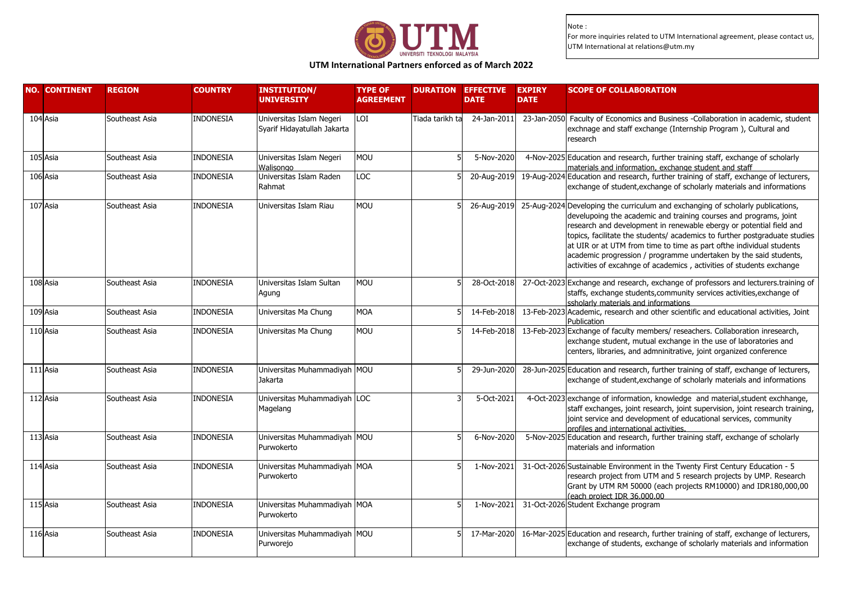

**UTM International Partners enforced as of March 2022**

| <b>NO. CONTINENT</b> | <b>REGION</b>  | <b>COUNTRY</b>   | <b>INSTITUTION/</b><br><b>UNIVERSITY</b>                | <b>TYPE OF</b><br><b>AGREEMENT</b> |                 | <b>DURATION EFFECTIVE</b><br><b>DATE</b> | <b>EXPIRY</b><br><b>DATE</b> | <b>SCOPE OF COLLABORATION</b>                                                                                                                                                                                                                                                                                                                                                                                                                                                                                                              |
|----------------------|----------------|------------------|---------------------------------------------------------|------------------------------------|-----------------|------------------------------------------|------------------------------|--------------------------------------------------------------------------------------------------------------------------------------------------------------------------------------------------------------------------------------------------------------------------------------------------------------------------------------------------------------------------------------------------------------------------------------------------------------------------------------------------------------------------------------------|
| 104 Asia             | Southeast Asia | <b>INDONESIA</b> | Universitas Islam Negeri<br>Syarif Hidayatullah Jakarta | LOI                                | Tiada tarikh ta | 24-Jan-2011                              | 23-Jan-2050                  | Faculty of Economics and Business -Collaboration in academic, student<br>exchnage and staff exchange (Internship Program), Cultural and<br>research                                                                                                                                                                                                                                                                                                                                                                                        |
| 105 Asia             | Southeast Asia | <b>INDONESIA</b> | Universitas Islam Negeri<br>Walisongo                   | <b>MOU</b>                         |                 | 5-Nov-2020                               |                              | 4-Nov-2025 Education and research, further training staff, exchange of scholarly<br>materials and information, exchange student and staff                                                                                                                                                                                                                                                                                                                                                                                                  |
| 106 Asia             | Southeast Asia | <b>INDONESIA</b> | Universitas Islam Raden<br>Rahmat                       | LOC                                |                 | 20-Aug-2019                              |                              | 19-Aug-2024 Education and research, further training of staff, exchange of lecturers,<br>exchange of student, exchange of scholarly materials and informations                                                                                                                                                                                                                                                                                                                                                                             |
| 107 Asia             | Southeast Asia | <b>INDONESIA</b> | Universitas Islam Riau                                  | <b>MOU</b>                         |                 |                                          |                              | 26-Aug-2019 25-Aug-2024 Developing the curriculum and exchanging of scholarly publications,<br>develupoing the academic and training courses and programs, joint<br>research and development in renewable ebergy or potential field and<br>topics, facilitate the students/ academics to further postgraduate studies<br>at UIR or at UTM from time to time as part ofthe individual students<br>academic progression / programme undertaken by the said students,<br>activities of excahnge of academics, activities of students exchange |
| 108 Asia             | Southeast Asia | <b>INDONESIA</b> | Universitas Islam Sultan<br>Agung                       | <b>MOU</b>                         |                 | 28-Oct-2018                              |                              | 27-Oct-2023 Exchange and research, exchange of professors and lecturers.training of<br>staffs, exchange students, community services activities, exchange of<br>ssholarly materials and informations                                                                                                                                                                                                                                                                                                                                       |
| 109 Asia             | Southeast Asia | <b>INDONESIA</b> | Universitas Ma Chung                                    | <b>MOA</b>                         |                 | 14-Feb-2018                              |                              | 13-Feb-2023 Academic, research and other scientific and educational activities, Joint<br>Publication                                                                                                                                                                                                                                                                                                                                                                                                                                       |
| 110 Asia             | Southeast Asia | <b>INDONESIA</b> | Universitas Ma Chung                                    | <b>MOU</b>                         |                 | 14-Feb-2018                              |                              | 13-Feb-2023 Exchange of faculty members/ reseachers. Collaboration inresearch,<br>exchange student, mutual exchange in the use of laboratories and<br>centers, libraries, and admninitrative, joint organized conference                                                                                                                                                                                                                                                                                                                   |
| 111 Asia             | Southeast Asia | <b>INDONESIA</b> | Universitas Muhammadiyah MOU<br>Jakarta                 |                                    |                 | 29-Jun-2020                              |                              | 28-Jun-2025 Education and research, further training of staff, exchange of lecturers,<br>exchange of student, exchange of scholarly materials and informations                                                                                                                                                                                                                                                                                                                                                                             |
| 112 Asia             | Southeast Asia | <b>INDONESIA</b> | Universitas Muhammadiyah LOC<br>Magelang                |                                    |                 | 5-Oct-2021                               |                              | 4-Oct-2023 exchange of information, knowledge and material, student exchhange,<br>staff exchanges, joint research, joint supervision, joint research training,<br>joint service and development of educational services, community<br>profiles and international activities.                                                                                                                                                                                                                                                               |
| 113 Asia             | Southeast Asia | <b>INDONESIA</b> | Universitas Muhammadiyah MOU<br>Purwokerto              |                                    |                 | 6-Nov-2020                               |                              | 5-Nov-2025 Education and research, further training staff, exchange of scholarly<br>materials and information                                                                                                                                                                                                                                                                                                                                                                                                                              |
| 114 Asia             | Southeast Asia | <b>INDONESIA</b> | Universitas Muhammadiyah MOA<br>Purwokerto              |                                    |                 | 1-Nov-2021                               |                              | 31-Oct-2026 Sustainable Environment in the Twenty First Century Education - 5<br>research project from UTM and 5 research projects by UMP. Research<br>Grant by UTM RM 50000 (each projects RM10000) and IDR180,000,00<br>(each project IDR 36,000,00                                                                                                                                                                                                                                                                                      |
| 115 Asia             | Southeast Asia | INDONESIA        | Universitas Muhammadiyah MOA<br>Purwokerto              |                                    |                 | 1-Nov-2021                               |                              | 31-Oct-2026 Student Exchange program                                                                                                                                                                                                                                                                                                                                                                                                                                                                                                       |
| 116 Asia             | Southeast Asia | <b>INDONESIA</b> | Universitas Muhammadiyah MOU<br>Purworejo               |                                    |                 | 17-Mar-2020                              |                              | 16-Mar-2025 Education and research, further training of staff, exchange of lecturers,<br>exchange of students, exchange of scholarly materials and information                                                                                                                                                                                                                                                                                                                                                                             |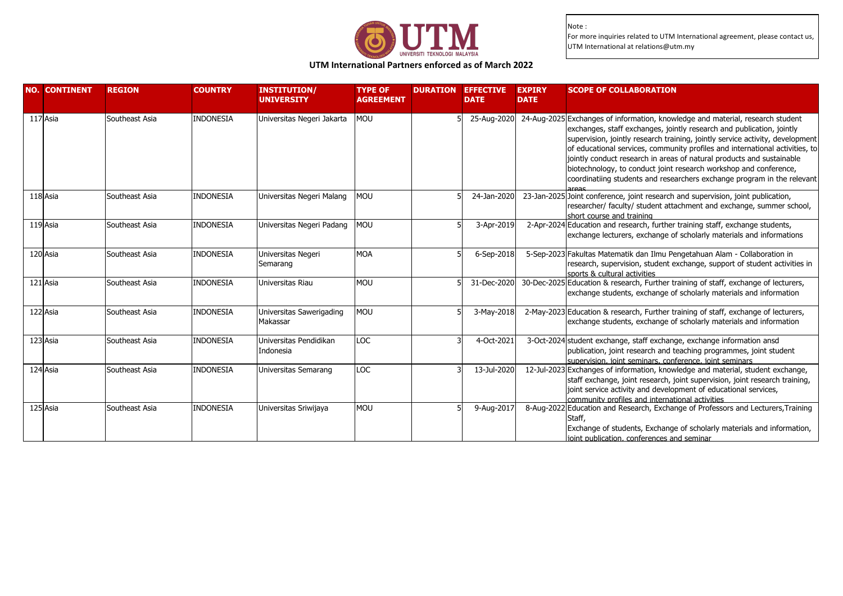

### **UTM International Partners enforced as of March 2022**

| <b>NO. CONTINENT</b> | <b>REGION</b>  | <b>COUNTRY</b>   | <b>INSTITUTION/</b><br><b>UNIVERSITY</b> | <b>TYPE OF</b><br><b>AGREEMENT</b> | <b>DURATION</b> | <b>EFFECTIVE</b><br><b>DATE</b> | <b>EXPIRY</b><br><b>DATE</b> | <b>SCOPE OF COLLABORATION</b>                                                                                                                                                                                                                                                                                                                                                                                                                                                                                                                     |
|----------------------|----------------|------------------|------------------------------------------|------------------------------------|-----------------|---------------------------------|------------------------------|---------------------------------------------------------------------------------------------------------------------------------------------------------------------------------------------------------------------------------------------------------------------------------------------------------------------------------------------------------------------------------------------------------------------------------------------------------------------------------------------------------------------------------------------------|
| 117 Asia             | Southeast Asia | <b>INDONESIA</b> | Universitas Negeri Jakarta               | MOU                                |                 | 25-Aug-2020                     |                              | 24-Aug-2025 Exchanges of information, knowledge and material, research student<br>exchanges, staff exchanges, jointly research and publication, jointly<br>supervision, jointly research training, jointly service activity, development<br>of educational services, community profiles and international activities, to<br>jointly conduct research in areas of natural products and sustainable<br>biotechnology, to conduct joint research workshop and conference,<br>coordinatiing students and researchers exchange program in the relevant |
| 118 Asia             | Southeast Asia | <b>INDONESIA</b> | Universitas Negeri Malang                | MOU                                |                 | 24-Jan-2020                     |                              | 23-Jan-2025 Joint conference, joint research and supervision, joint publication,<br>researcher/ faculty/ student attachment and exchange, summer school,<br>short course and training                                                                                                                                                                                                                                                                                                                                                             |
| 119 Asia             | Southeast Asia | INDONESIA        | Universitas Negeri Padang                | MOU                                |                 | 3-Apr-2019                      |                              | 2-Apr-2024 Education and research, further training staff, exchange students,<br>exchange lecturers, exchange of scholarly materials and informations                                                                                                                                                                                                                                                                                                                                                                                             |
| 120 Asia             | Southeast Asia | <b>INDONESIA</b> | Universitas Negeri<br>Semarang           | <b>MOA</b>                         |                 | 6-Sep-2018                      |                              | 5-Sep-2023 Fakultas Matematik dan Ilmu Pengetahuan Alam - Collaboration in<br>research, supervision, student exchange, support of student activities in<br>sports & cultural activities                                                                                                                                                                                                                                                                                                                                                           |
| 121 Asia             | Southeast Asia | <b>INDONESIA</b> | Universitas Riau                         | <b>MOU</b>                         |                 | 31-Dec-2020                     |                              | 30-Dec-2025 Education & research, Further training of staff, exchange of lecturers,<br>exchange students, exchange of scholarly materials and information                                                                                                                                                                                                                                                                                                                                                                                         |
| 122 Asia             | Southeast Asia | <b>INDONESIA</b> | Universitas Sawerigading<br>Makassar     | MOU                                |                 | 3-May-2018                      |                              | 2-May-2023 Education & research, Further training of staff, exchange of lecturers,<br>exchange students, exchange of scholarly materials and information                                                                                                                                                                                                                                                                                                                                                                                          |
| 123 Asia             | Southeast Asia | <b>INDONESIA</b> | Universitas Pendidikan<br>Indonesia      | <b>LOC</b>                         |                 | 4-Oct-2021                      |                              | 3-Oct-2024 student exchange, staff exchange, exchange information ansd<br>publication, joint research and teaching programmes, joint student<br>supervision, joint seminars, conference, joint seminars                                                                                                                                                                                                                                                                                                                                           |
| 124 Asia             | Southeast Asia | <b>INDONESIA</b> | <b>Universitas Semarang</b>              | <b>LOC</b>                         |                 | 13-Jul-2020                     |                              | 12-Jul-2023 Exchanges of information, knowledge and material, student exchange,<br>staff exchange, joint research, joint supervision, joint research training,<br>joint service activity and development of educational services,<br>community profiles and international activities                                                                                                                                                                                                                                                              |
| 125 Asia             | Southeast Asia | INDONESIA        | Universitas Sriwijaya                    | <b>MOU</b>                         |                 | 9-Aug-2017                      |                              | 8-Aug-2022 Education and Research, Exchange of Professors and Lecturers, Training<br>Staff,<br>Exchange of students, Exchange of scholarly materials and information,<br>joint publication, conferences and seminar                                                                                                                                                                                                                                                                                                                               |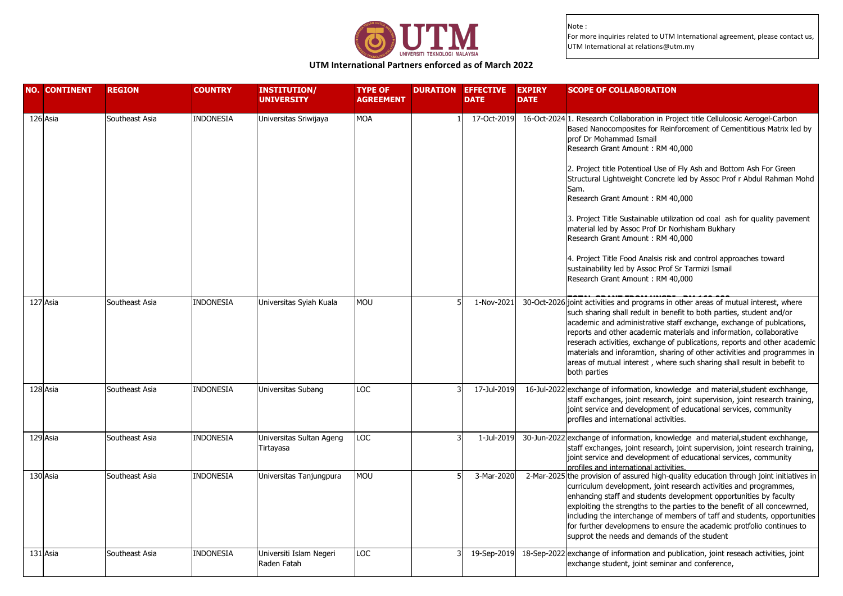

**UTM International Partners enforced as of March 2022**

| <b>NO. CONTINENT</b> | <b>REGION</b>  | <b>COUNTRY</b>   | <b>INSTITUTION/</b><br><b>UNIVERSITY</b> | <b>TYPE OF</b><br><b>AGREEMENT</b> | <b>DURATION EFFECTIVE</b><br><b>DATE</b> | <b>EXPIRY</b><br><b>DATE</b> | <b>SCOPE OF COLLABORATION</b>                                                                                                                                                                                                                                                                                                                                                                                                                                                                                                                                                                                                                                                                                                                                      |
|----------------------|----------------|------------------|------------------------------------------|------------------------------------|------------------------------------------|------------------------------|--------------------------------------------------------------------------------------------------------------------------------------------------------------------------------------------------------------------------------------------------------------------------------------------------------------------------------------------------------------------------------------------------------------------------------------------------------------------------------------------------------------------------------------------------------------------------------------------------------------------------------------------------------------------------------------------------------------------------------------------------------------------|
| 126 Asia             | Southeast Asia | INDONESIA        | Universitas Sriwijaya                    | <b>MOA</b>                         |                                          |                              | 17-Oct-2019 16-Oct-2024 1. Research Collaboration in Project title Celluloosic Aerogel-Carbon<br>Based Nanocomposites for Reinforcement of Cementitious Matrix led by<br>prof Dr Mohammad Ismail<br>Research Grant Amount: RM 40,000<br>2. Project title Potentioal Use of Fly Ash and Bottom Ash For Green<br>Structural Lightweight Concrete led by Assoc Prof r Abdul Rahman Mohd<br>Sam.<br>Research Grant Amount: RM 40,000<br>3. Project Title Sustainable utilization od coal ash for quality pavement<br>material led by Assoc Prof Dr Norhisham Bukhary<br>Research Grant Amount: RM 40,000<br>4. Project Title Food Analsis risk and control approaches toward<br>sustainability led by Assoc Prof Sr Tarmizi Ismail<br>Research Grant Amount: RM 40,000 |
| 127 Asia             | Southeast Asia | INDONESIA        | Universitas Syiah Kuala                  | <b>MOU</b>                         | 1-Nov-2021                               |                              | 30-Oct-2026 joint activities and programs in other areas of mutual interest, where<br>such sharing shall redult in benefit to both parties, student and/or<br>academic and administrative staff exchange, exchange of publcations,<br>reports and other academic materials and information, collaborative<br>reserach activities, exchange of publications, reports and other academic<br>materials and inforamtion, sharing of other activities and programmes in<br>areas of mutual interest, where such sharing shall result in bebefit to<br>both parties                                                                                                                                                                                                      |
| 128 Asia             | Southeast Asia | <b>INDONESIA</b> | Universitas Subang                       | <b>LOC</b>                         | 17-Jul-2019                              |                              | 16-Jul-2022 exchange of information, knowledge and material, student exchhange,<br>staff exchanges, joint research, joint supervision, joint research training,<br>joint service and development of educational services, community<br>profiles and international activities.                                                                                                                                                                                                                                                                                                                                                                                                                                                                                      |
| 129 Asia             | Southeast Asia | <b>INDONESIA</b> | Universitas Sultan Ageng<br>Tirtayasa    | LOC                                | 1-Jul-2019                               |                              | 30-Jun-2022 exchange of information, knowledge and material, student exchhange,<br>staff exchanges, joint research, joint supervision, joint research training,<br>joint service and development of educational services, community<br>profiles and international activities.                                                                                                                                                                                                                                                                                                                                                                                                                                                                                      |
| 130 Asia             | Southeast Asia | <b>INDONESIA</b> | Universitas Tanjungpura                  | <b>MOU</b>                         | 3-Mar-2020                               |                              | 2-Mar-2025 the provision of assured high-quality education through joint initiatives in<br>curriculum development, joint research activities and programmes,<br>enhancing staff and students development opportunities by faculty<br>exploiting the strengths to the parties to the benefit of all concewrned,<br>including the interchange of members of taff and students, opportunities<br>for further developmens to ensure the academic protfolio continues to<br>supprot the needs and demands of the student                                                                                                                                                                                                                                                |
| 131 Asia             | Southeast Asia | INDONESIA        | Universiti Islam Negeri<br>Raden Fatah   | <b>LOC</b>                         | 19-Sep-2019                              |                              | 18-Sep-2022 exchange of information and publication, joint reseach activities, joint<br>exchange student, joint seminar and conference,                                                                                                                                                                                                                                                                                                                                                                                                                                                                                                                                                                                                                            |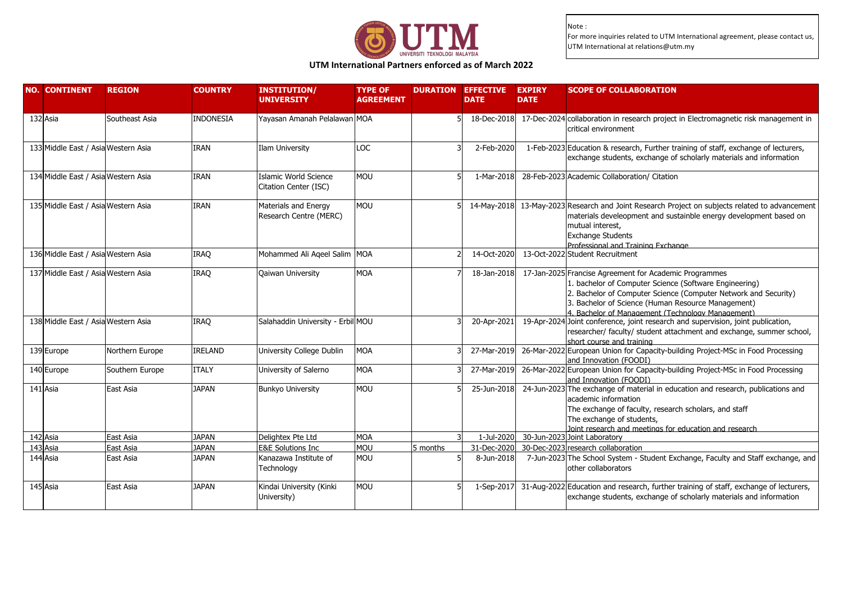

**UTM International Partners enforced as of March 2022**

| <b>NO. CONTINENT</b>                | <b>REGION</b>   | <b>COUNTRY</b>   | <b>INSTITUTION/</b><br><b>UNIVERSITY</b>       | <b>TYPE OF</b><br><b>AGREEMENT</b> |          | <b>DURATION EFFECTIVE</b><br><b>DATE</b> | <b>EXPIRY</b><br><b>DATE</b> | <b>SCOPE OF COLLABORATION</b>                                                                                                                                                                                                                                                                  |
|-------------------------------------|-----------------|------------------|------------------------------------------------|------------------------------------|----------|------------------------------------------|------------------------------|------------------------------------------------------------------------------------------------------------------------------------------------------------------------------------------------------------------------------------------------------------------------------------------------|
| 132 Asia                            | Southeast Asia  | <b>INDONESIA</b> | Yayasan Amanah Pelalawan MOA                   |                                    |          | 18-Dec-2018                              |                              | 17-Dec-2024 collaboration in research project in Electromagnetic risk management in<br>critical environment                                                                                                                                                                                    |
| 133 Middle East / Asia Western Asia |                 | <b>IRAN</b>      | Ilam University                                | LOC                                |          | 2-Feb-2020                               |                              | 1-Feb-2023 Education & research, Further training of staff, exchange of lecturers,<br>exchange students, exchange of scholarly materials and information                                                                                                                                       |
| 134 Middle East / Asia Western Asia |                 | <b>IRAN</b>      | Islamic World Science<br>Citation Center (ISC) | <b>MOU</b>                         |          | 1-Mar-2018                               |                              | 28-Feb-2023 Academic Collaboration/ Citation                                                                                                                                                                                                                                                   |
| 135 Middle East / Asia Western Asia |                 | <b>IRAN</b>      | Materials and Energy<br>Research Centre (MERC) | <b>MOU</b>                         |          | 14-May-2018                              |                              | 13-May-2023 Research and Joint Research Project on subjects related to advancement<br>materials develeopment and sustainble energy development based on<br>mutual interest,<br><b>Exchange Students</b><br>Professional and Training Exchange                                                  |
| 136 Middle East / Asia Western Asia |                 | IRAQ             | Mohammed Ali Ageel Salim MOA                   |                                    |          | 14-Oct-2020                              |                              | 13-Oct-2022 Student Recruitment                                                                                                                                                                                                                                                                |
| 137 Middle East / Asia Western Asia |                 | IRAQ             | Qaiwan University                              | <b>MOA</b>                         |          | 18-Jan-2018                              |                              | 17-Jan-2025 Francise Agreement for Academic Programmes<br>1. bachelor of Computer Science (Software Engineering)<br>2. Bachelor of Computer Science (Computer Network and Security)<br>3. Bachelor of Science (Human Resource Management)<br>4. Bachelor of Management (Technology Management) |
| 138 Middle East / Asia Western Asia |                 | IRAQ             | Salahaddin University - Erbil MOU              |                                    |          | 20-Apr-2021                              |                              | 19-Apr-2024 Joint conference, joint research and supervision, joint publication,<br>researcher/ faculty/ student attachment and exchange, summer school,<br>short course and training                                                                                                          |
| 139 Europe                          | Northern Europe | <b>IRELAND</b>   | University College Dublin                      | <b>MOA</b>                         |          | 27-Mar-2019                              |                              | 26-Mar-2022 European Union for Capacity-building Project-MSc in Food Processing<br>and Innovation (FOODI)                                                                                                                                                                                      |
| 140 Europe                          | Southern Europe | <b>ITALY</b>     | University of Salerno                          | <b>MOA</b>                         |          | 27-Mar-2019                              |                              | 26-Mar-2022 European Union for Capacity-building Project-MSc in Food Processing<br>and Innovation (FOODI)                                                                                                                                                                                      |
| 141 Asia                            | East Asia       | <b>JAPAN</b>     | <b>Bunkyo University</b>                       | <b>MOU</b>                         |          | 25-Jun-2018                              |                              | 24-Jun-2023 The exchange of material in education and research, publications and<br>academic information<br>The exchange of faculty, research scholars, and staff<br>The exchange of students,<br>Joint research and meetings for education and research                                       |
| 142 Asia                            | East Asia       | <b>JAPAN</b>     | Delightex Pte Ltd                              | <b>MOA</b>                         |          | 1-Jul-2020                               |                              | 30-Jun-2023 Joint Laboratory                                                                                                                                                                                                                                                                   |
| 143 Asia                            | East Asia       | <b>JAPAN</b>     | <b>E&amp;E Solutions Inc.</b>                  | <b>NON</b>                         | 5 months | 31-Dec-2020                              |                              | 30-Dec-2023 research collaboration                                                                                                                                                                                                                                                             |
| 144 Asia                            | East Asia       | <b>JAPAN</b>     | Kanazawa Institute of<br>Technology            | MOU                                |          | 8-Jun-2018                               |                              | 7-Jun-2023 The School System - Student Exchange, Faculty and Staff exchange, and<br>other collaborators                                                                                                                                                                                        |
| 145 Asia                            | East Asia       | <b>JAPAN</b>     | Kindai University (Kinki<br>University)        | <b>MOU</b>                         |          | 1-Sep-2017                               |                              | 31-Aug-2022 Education and research, further training of staff, exchange of lecturers,<br>exchange students, exchange of scholarly materials and information                                                                                                                                    |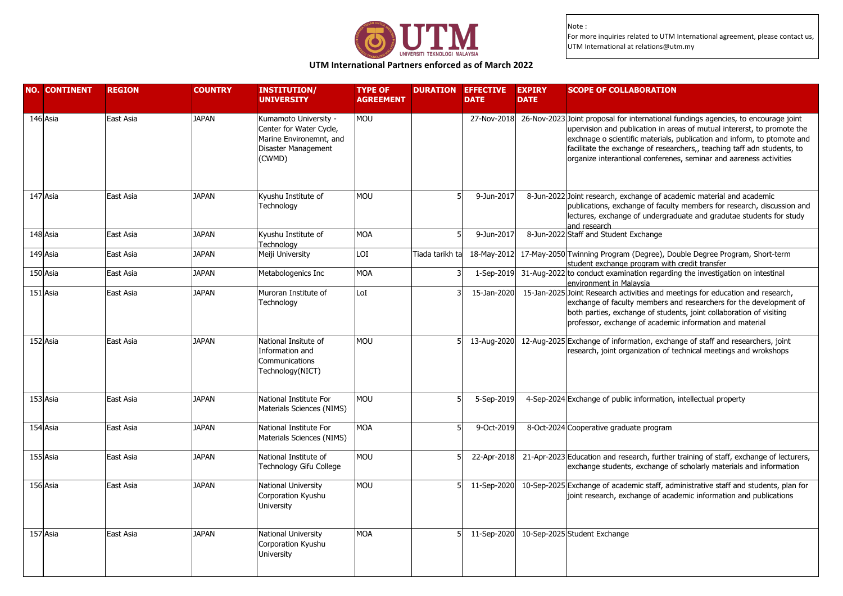

# **UTM International Partners enforced as of March 2022**

| <b>NO. CONTINENT</b> | <b>REGION</b> | <b>COUNTRY</b> | <b>INSTITUTION/</b><br><b>UNIVERSITY</b>                                                                     | <b>TYPE OF</b><br><b>AGREEMENT</b> | <b>DURATION</b> | <b>EFFECTIVE</b><br><b>DATE</b> | <b>EXPIRY</b><br><b>DATE</b> | <b>SCOPE OF COLLABORATION</b>                                                                                                                                                                                                                                                                                                                                                             |
|----------------------|---------------|----------------|--------------------------------------------------------------------------------------------------------------|------------------------------------|-----------------|---------------------------------|------------------------------|-------------------------------------------------------------------------------------------------------------------------------------------------------------------------------------------------------------------------------------------------------------------------------------------------------------------------------------------------------------------------------------------|
| 146 Asia             | East Asia     | <b>JAPAN</b>   | Kumamoto University -<br>Center for Water Cycle,<br>Marine Environemnt, and<br>Disaster Management<br>(CWMD) | <b>MOU</b>                         |                 | 27-Nov-2018                     |                              | 26-Nov-2023 Joint proposal for international fundings agencies, to encourage joint<br>upervision and publication in areas of mutual intererst, to promote the<br>exchnage o scientific materials, publication and inform, to ptomote and<br>facilitate the exchange of researchers,, teaching taff adn students, to<br>organize interantional conferenes, seminar and aareness activities |
| 147 Asia             | East Asia     | <b>JAPAN</b>   | Kyushu Institute of<br>Technology                                                                            | <b>MOU</b>                         |                 | 9-Jun-2017                      |                              | 8-Jun-2022 Joint research, exchange of academic material and academic<br>publications, exchange of faculty members for research, discussion and<br>lectures, exchange of undergraduate and gradutae students for study<br>and research                                                                                                                                                    |
| 148 Asia             | East Asia     | <b>JAPAN</b>   | Kyushu Institute of<br>Technoloav                                                                            | MOA                                |                 | 9-Jun-2017                      |                              | 8-Jun-2022 Staff and Student Exchange                                                                                                                                                                                                                                                                                                                                                     |
| 149 Asia             | East Asia     | <b>JAPAN</b>   | Meiji University                                                                                             | LOI                                | Tiada tarikh ta | 18-May-2012                     |                              | 17-May-2050 Twinning Program (Degree), Double Degree Program, Short-term<br>student exchange program with credit transfer                                                                                                                                                                                                                                                                 |
| 150 Asia             | East Asia     | <b>JAPAN</b>   | Metabologenics Inc                                                                                           | MOA                                |                 | 1-Sep-2019                      |                              | 31-Aug-2022 to conduct examination regarding the investigation on intestinal<br>environment in Malaysia                                                                                                                                                                                                                                                                                   |
| 151 Asia             | East Asia     | <b>JAPAN</b>   | Muroran Institute of<br>Technology                                                                           | LoI                                |                 | 15-Jan-2020                     |                              | 15-Jan-2025 Joint Research activities and meetings for education and research,<br>exchange of faculty members and researchers for the development of<br>both parties, exchange of students, joint collaboration of visiting<br>professor, exchange of academic information and material                                                                                                   |
| 152 Asia             | East Asia     | <b>JAPAN</b>   | National Insitute of<br>Information and<br>Communications<br>Technology(NICT)                                | <b>MOU</b>                         |                 | 13-Aug-2020                     |                              | 12-Aug-2025 Exchange of information, exchange of staff and researchers, joint<br>research, joint organization of technical meetings and wrokshops                                                                                                                                                                                                                                         |
| 153 Asia             | East Asia     | <b>JAPAN</b>   | National Institute For<br>Materials Sciences (NIMS)                                                          | <b>MOU</b>                         |                 | 5-Sep-2019                      |                              | 4-Sep-2024 Exchange of public information, intellectual property                                                                                                                                                                                                                                                                                                                          |
| 154 Asia             | East Asia     | <b>JAPAN</b>   | National Institute For<br>Materials Sciences (NIMS)                                                          | <b>MOA</b>                         |                 | 9-Oct-2019                      |                              | 8-Oct-2024 Cooperative graduate program                                                                                                                                                                                                                                                                                                                                                   |
| 155 Asia             | East Asia     | <b>JAPAN</b>   | National Institute of<br>Technology Gifu College                                                             | <b>MOU</b>                         |                 | 22-Apr-2018                     |                              | 21-Apr-2023 Education and research, further training of staff, exchange of lecturers,<br>exchange students, exchange of scholarly materials and information                                                                                                                                                                                                                               |
| 156 Asia             | East Asia     | <b>JAPAN</b>   | National University<br>Corporation Kyushu<br>University                                                      | <b>MOU</b>                         |                 | 11-Sep-2020                     |                              | 10-Sep-2025 Exchange of academic staff, administrative staff and students, plan for<br>joint research, exchange of academic information and publications                                                                                                                                                                                                                                  |
| 157 Asia             | East Asia     | <b>JAPAN</b>   | National University<br>Corporation Kyushu<br>University                                                      | <b>MOA</b>                         |                 | 11-Sep-2020                     |                              | 10-Sep-2025 Student Exchange                                                                                                                                                                                                                                                                                                                                                              |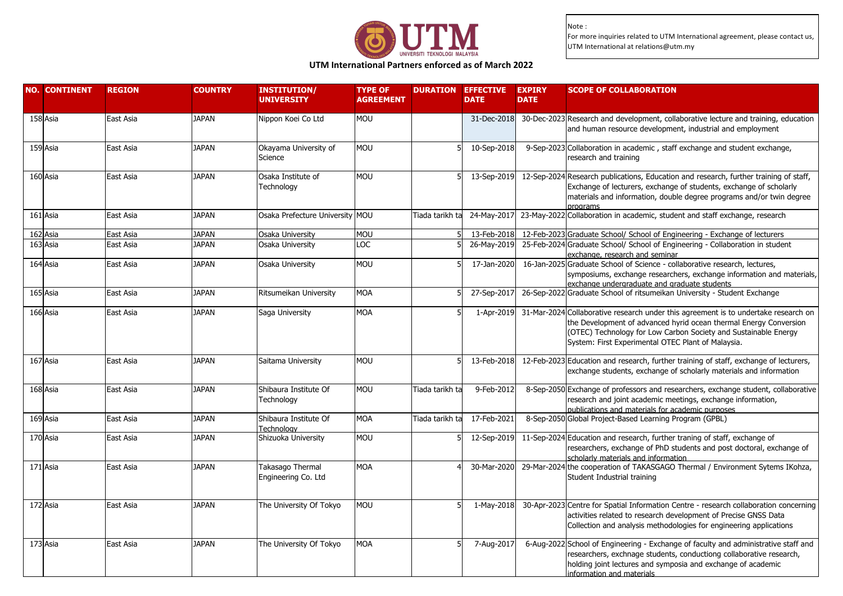

# **UTM International Partners enforced as of March 2022**

| <b>NO. CONTINENT</b> | <b>REGION</b> | <b>COUNTRY</b> | <b>INSTITUTION/</b><br><b>UNIVERSITY</b> | <b>TYPE OF</b><br><b>AGREEMENT</b> |                 | <b>DURATION EFFECTIVE</b><br><b>DATE</b> | <b>EXPIRY</b><br><b>DATE</b> | <b>SCOPE OF COLLABORATION</b>                                                                                                                                                                                                                                                     |
|----------------------|---------------|----------------|------------------------------------------|------------------------------------|-----------------|------------------------------------------|------------------------------|-----------------------------------------------------------------------------------------------------------------------------------------------------------------------------------------------------------------------------------------------------------------------------------|
| 158 Asia             | East Asia     | <b>JAPAN</b>   | Nippon Koei Co Ltd                       | <b>MOU</b>                         |                 | 31-Dec-2018                              |                              | 30-Dec-2023 Research and development, collaborative lecture and training, education<br>and human resource development, industrial and employment                                                                                                                                  |
| 159 Asia             | East Asia     | <b>JAPAN</b>   | Okayama University of<br>Science         | MOU                                |                 | 10-Sep-2018                              |                              | 9-Sep-2023 Collaboration in academic, staff exchange and student exchange,<br>research and training                                                                                                                                                                               |
| 160 Asia             | East Asia     | <b>JAPAN</b>   | Osaka Institute of<br>Technology         | <b>MOU</b>                         |                 | 13-Sep-2019                              |                              | 12-Sep-2024 Research publications, Education and research, further training of staff,<br>Exchange of lecturers, exchange of students, exchange of scholarly<br>materials and information, double degree programs and/or twin degree<br>programs                                   |
| 161 Asia             | East Asia     | <b>JAPAN</b>   | Osaka Prefecture University MOU          |                                    | Tiada tarikh ta | 24-May-2017                              |                              | 23-May-2022 Collaboration in academic, student and staff exchange, research                                                                                                                                                                                                       |
| 162 Asia             | East Asia     | <b>JAPAN</b>   | Osaka University                         | <b>MOU</b>                         |                 | 13-Feb-2018                              |                              | 12-Feb-2023 Graduate School/ School of Engineering - Exchange of lecturers                                                                                                                                                                                                        |
| 163 Asia             | East Asia     | <b>JAPAN</b>   | Osaka University                         | LOC                                |                 | 26-May-2019                              |                              | 25-Feb-2024 Graduate School/ School of Engineering - Collaboration in student<br>exchange, research and seminar                                                                                                                                                                   |
| 164 Asia             | East Asia     | <b>JAPAN</b>   | Osaka University                         | MOU                                |                 | 17-Jan-2020                              |                              | 16-Jan-2025 Graduate School of Science - collaborative research, lectures,<br>symposiums, exchange researchers, exchange information and materials,<br>exchange undergraduate and graduate students                                                                               |
| 165 Asia             | East Asia     | <b>JAPAN</b>   | Ritsumeikan University                   | <b>MOA</b>                         |                 | 27-Sep-2017                              |                              | 26-Sep-2022 Graduate School of ritsumeikan University - Student Exchange                                                                                                                                                                                                          |
| 166 Asia             | East Asia     | <b>JAPAN</b>   | Saga University                          | <b>MOA</b>                         |                 | 1-Apr-2019                               |                              | 31-Mar-2024 Collaborative research under this agreement is to undertake research on<br>the Development of advanced hyrid ocean thermal Energy Conversion<br>(OTEC) Technology for Low Carbon Society and Sustainable Energy<br>System: First Experimental OTEC Plant of Malaysia. |
| 167 Asia             | East Asia     | <b>JAPAN</b>   | Saitama University                       | <b>MOU</b>                         |                 | 13-Feb-2018                              |                              | 12-Feb-2023 Education and research, further training of staff, exchange of lecturers,<br>exchange students, exchange of scholarly materials and information                                                                                                                       |
| 168 Asia             | East Asia     | JAPAN          | Shibaura Institute Of<br>Technology      | MOU                                | Tiada tarikh ta | 9-Feb-2012                               |                              | 8-Sep-2050 Exchange of professors and researchers, exchange student, collaborative<br>research and joint academic meetings, exchange information,<br>publications and materials for academic purposes                                                                             |
| 169 Asia             | East Asia     | <b>JAPAN</b>   | Shibaura Institute Of<br>Technology      | <b>MOA</b>                         | Tiada tarikh ta | 17-Feb-2021                              |                              | 8-Sep-2050 Global Project-Based Learning Program (GPBL)                                                                                                                                                                                                                           |
| 170 Asia             | East Asia     | <b>JAPAN</b>   | Shizuoka University                      | <b>MOU</b>                         |                 | 12-Sep-2019                              |                              | 11-Sep-2024 Education and research, further traning of staff, exchange of<br>researchers, exchange of PhD students and post doctoral, exchange of<br>scholarly materials and information                                                                                          |
| 171 Asia             | East Asia     | <b>JAPAN</b>   | Takasago Thermal<br>Engineering Co. Ltd  | <b>MOA</b>                         |                 | 30-Mar-2020                              |                              | 29-Mar-2024 the cooperation of TAKASGAGO Thermal / Environment Sytems IKohza,<br>Student Industrial training                                                                                                                                                                      |
| 172 Asia             | East Asia     | <b>JAPAN</b>   | The University Of Tokyo                  | <b>MOU</b>                         |                 | 1-May-2018                               |                              | 30-Apr-2023 Centre for Spatial Information Centre - research collaboration concerning<br>activities related to research development of Precise GNSS Data<br>Collection and analysis methodologies for engineering applications                                                    |
| 173 Asia             | East Asia     | <b>JAPAN</b>   | The University Of Tokyo                  | <b>MOA</b>                         |                 | 7-Aug-2017                               |                              | 6-Aug-2022 School of Engineering - Exchange of faculty and administrative staff and<br>researchers, exchnage students, conductiong collaborative research,<br>holding joint lectures and symposia and exchange of academic<br>information and materials                           |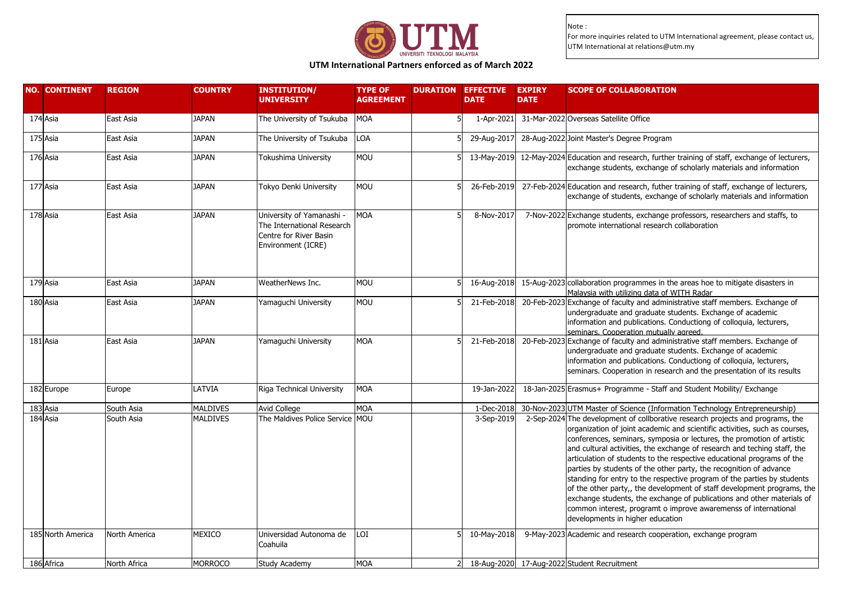

**UTM International Partners enforced as of March 2022**

| 174 Asia<br>1-Apr-2021 31-Mar-2022 Overseas Satellite Office<br><b>JAPAN</b><br>The University of Tsukuba<br><b>MOA</b><br>East Asia<br>175 Asia<br>East Asia<br>The University of Tsukuba<br>LOA<br>29-Aug-2017<br>28-Aug-2022 Joint Master's Degree Program<br>JAPAN<br>176 Asia<br><b>MOU</b><br>13-May-2019 12-May-2024 Education and research, further training of staff, exchange of lecturers,<br>East Asia<br>JAPAN<br>Tokushima University<br>exchange students, exchange of scholarly materials and information<br>177 Asia<br><b>JAPAN</b><br>Tokyo Denki University<br>MOU<br>26-Feb-2019<br>27-Feb-2024 Education and research, futher training of staff, exchange of lecturers,<br>East Asia<br>exchange of students, exchange of scholarly materials and information<br>178 Asia<br><b>MOA</b><br>East Asia<br>JAPAN<br>University of Yamanashi -<br>8-Nov-2017<br>7-Nov-2022 Exchange students, exchange professors, researchers and staffs, to<br>The International Research<br>promote international research collaboration<br>Centre for River Basin<br>Environment (ICRE)<br>179 Asia<br>East Asia<br><b>JAPAN</b><br>WeatherNews Inc.<br><b>MOU</b><br>16-Aug-2018<br>15-Aug-2023 collaboration programmes in the areas hoe to mitigate disasters in<br>Malaysia with utilizing data of WITH Radar<br>180 Asia<br>MOU<br>20-Feb-2023 Exchange of faculty and administrative staff members. Exchange of<br>East Asia<br><b>JAPAN</b><br>21-Feb-2018<br>Yamaguchi University<br>undergraduate and graduate students. Exchange of academic<br>information and publications. Conductiong of colloquia, lecturers,<br>seminars. Cooperation mutually agreed.<br>181 Asia<br><b>MOA</b><br>20-Feb-2023 Exchange of faculty and administrative staff members. Exchange of<br>East Asia<br><b>JAPAN</b><br>Yamaguchi University<br>21-Feb-2018<br>undergraduate and graduate students. Exchange of academic<br>information and publications. Conductiong of colloquia, lecturers,<br>seminars. Cooperation in research and the presentation of its results<br>182 Europe<br>LATVIA<br><b>MOA</b><br>19-Jan-2022<br>18-Jan-2025 Erasmus+ Programme - Staff and Student Mobility/ Exchange<br>Riga Technical University<br>Europe<br>183 Asia<br><b>MOA</b><br>South Asia<br><b>MALDIVES</b><br>30-Nov-2023 UTM Master of Science (Information Technology Entrepreneurship)<br>Avid College<br>1-Dec-2018<br>184 Asia<br>South Asia<br><b>MALDIVES</b><br>The Maldives Police Service MOU<br>2-Sep-2024 The development of collborative research projects and programs, the<br>3-Sep-2019<br>organization of joint academic and scientific activities, such as courses,<br>conferences, seminars, symposia or lectures, the promotion of artistic<br>and cultural activities, the exchange of research and teching staff, the<br>articulation of students to the respective educational programs of the<br>parties by students of the other party, the recognition of advance<br>standing for entry to the respective program of the parties by students<br>common interest, programt o improve awaremenss of international<br>developments in higher education<br>185 North America<br>North America<br>MEXICO<br>Universidad Autonoma de<br>LOI<br>10-May-2018<br>9-May-2023 Academic and research cooperation, exchange program<br>Coahuila<br>186 Africa<br><b>MORROCO</b><br><b>MOA</b><br>18-Aug-2020 17-Aug-2022 Student Recruitment<br>North Africa<br>Study Academy | <b>NO. CONTINENT</b> | <b>REGION</b> | <b>COUNTRY</b> | <b>INSTITUTION/</b><br><b>UNIVERSITY</b> | <b>TYPE OF</b><br><b>AGREEMENT</b> | <b>DURATION EFFECTIVE</b><br><b>DATE</b> | <b>EXPIRY</b><br><b>DATE</b> | <b>SCOPE OF COLLABORATION</b>                                                                                                                     |
|-----------------------------------------------------------------------------------------------------------------------------------------------------------------------------------------------------------------------------------------------------------------------------------------------------------------------------------------------------------------------------------------------------------------------------------------------------------------------------------------------------------------------------------------------------------------------------------------------------------------------------------------------------------------------------------------------------------------------------------------------------------------------------------------------------------------------------------------------------------------------------------------------------------------------------------------------------------------------------------------------------------------------------------------------------------------------------------------------------------------------------------------------------------------------------------------------------------------------------------------------------------------------------------------------------------------------------------------------------------------------------------------------------------------------------------------------------------------------------------------------------------------------------------------------------------------------------------------------------------------------------------------------------------------------------------------------------------------------------------------------------------------------------------------------------------------------------------------------------------------------------------------------------------------------------------------------------------------------------------------------------------------------------------------------------------------------------------------------------------------------------------------------------------------------------------------------------------------------------------------------------------------------------------------------------------------------------------------------------------------------------------------------------------------------------------------------------------------------------------------------------------------------------------------------------------------------------------------------------------------------------------------------------------------------------------------------------------------------------------------------------------------------------------------------------------------------------------------------------------------------------------------------------------------------------------------------------------------------------------------------------------------------------------------------------------------------------------------------------------------------------------------------------------------------------------------------------------------------------------------------------------------------------------------------------------------------------------------------------------------------------------------------------------------------------------------------------------------------------------------|----------------------|---------------|----------------|------------------------------------------|------------------------------------|------------------------------------------|------------------------------|---------------------------------------------------------------------------------------------------------------------------------------------------|
|                                                                                                                                                                                                                                                                                                                                                                                                                                                                                                                                                                                                                                                                                                                                                                                                                                                                                                                                                                                                                                                                                                                                                                                                                                                                                                                                                                                                                                                                                                                                                                                                                                                                                                                                                                                                                                                                                                                                                                                                                                                                                                                                                                                                                                                                                                                                                                                                                                                                                                                                                                                                                                                                                                                                                                                                                                                                                                                                                                                                                                                                                                                                                                                                                                                                                                                                                                                                                                                                                         |                      |               |                |                                          |                                    |                                          |                              |                                                                                                                                                   |
|                                                                                                                                                                                                                                                                                                                                                                                                                                                                                                                                                                                                                                                                                                                                                                                                                                                                                                                                                                                                                                                                                                                                                                                                                                                                                                                                                                                                                                                                                                                                                                                                                                                                                                                                                                                                                                                                                                                                                                                                                                                                                                                                                                                                                                                                                                                                                                                                                                                                                                                                                                                                                                                                                                                                                                                                                                                                                                                                                                                                                                                                                                                                                                                                                                                                                                                                                                                                                                                                                         |                      |               |                |                                          |                                    |                                          |                              |                                                                                                                                                   |
|                                                                                                                                                                                                                                                                                                                                                                                                                                                                                                                                                                                                                                                                                                                                                                                                                                                                                                                                                                                                                                                                                                                                                                                                                                                                                                                                                                                                                                                                                                                                                                                                                                                                                                                                                                                                                                                                                                                                                                                                                                                                                                                                                                                                                                                                                                                                                                                                                                                                                                                                                                                                                                                                                                                                                                                                                                                                                                                                                                                                                                                                                                                                                                                                                                                                                                                                                                                                                                                                                         |                      |               |                |                                          |                                    |                                          |                              |                                                                                                                                                   |
|                                                                                                                                                                                                                                                                                                                                                                                                                                                                                                                                                                                                                                                                                                                                                                                                                                                                                                                                                                                                                                                                                                                                                                                                                                                                                                                                                                                                                                                                                                                                                                                                                                                                                                                                                                                                                                                                                                                                                                                                                                                                                                                                                                                                                                                                                                                                                                                                                                                                                                                                                                                                                                                                                                                                                                                                                                                                                                                                                                                                                                                                                                                                                                                                                                                                                                                                                                                                                                                                                         |                      |               |                |                                          |                                    |                                          |                              |                                                                                                                                                   |
|                                                                                                                                                                                                                                                                                                                                                                                                                                                                                                                                                                                                                                                                                                                                                                                                                                                                                                                                                                                                                                                                                                                                                                                                                                                                                                                                                                                                                                                                                                                                                                                                                                                                                                                                                                                                                                                                                                                                                                                                                                                                                                                                                                                                                                                                                                                                                                                                                                                                                                                                                                                                                                                                                                                                                                                                                                                                                                                                                                                                                                                                                                                                                                                                                                                                                                                                                                                                                                                                                         |                      |               |                |                                          |                                    |                                          |                              |                                                                                                                                                   |
|                                                                                                                                                                                                                                                                                                                                                                                                                                                                                                                                                                                                                                                                                                                                                                                                                                                                                                                                                                                                                                                                                                                                                                                                                                                                                                                                                                                                                                                                                                                                                                                                                                                                                                                                                                                                                                                                                                                                                                                                                                                                                                                                                                                                                                                                                                                                                                                                                                                                                                                                                                                                                                                                                                                                                                                                                                                                                                                                                                                                                                                                                                                                                                                                                                                                                                                                                                                                                                                                                         |                      |               |                |                                          |                                    |                                          |                              |                                                                                                                                                   |
|                                                                                                                                                                                                                                                                                                                                                                                                                                                                                                                                                                                                                                                                                                                                                                                                                                                                                                                                                                                                                                                                                                                                                                                                                                                                                                                                                                                                                                                                                                                                                                                                                                                                                                                                                                                                                                                                                                                                                                                                                                                                                                                                                                                                                                                                                                                                                                                                                                                                                                                                                                                                                                                                                                                                                                                                                                                                                                                                                                                                                                                                                                                                                                                                                                                                                                                                                                                                                                                                                         |                      |               |                |                                          |                                    |                                          |                              |                                                                                                                                                   |
|                                                                                                                                                                                                                                                                                                                                                                                                                                                                                                                                                                                                                                                                                                                                                                                                                                                                                                                                                                                                                                                                                                                                                                                                                                                                                                                                                                                                                                                                                                                                                                                                                                                                                                                                                                                                                                                                                                                                                                                                                                                                                                                                                                                                                                                                                                                                                                                                                                                                                                                                                                                                                                                                                                                                                                                                                                                                                                                                                                                                                                                                                                                                                                                                                                                                                                                                                                                                                                                                                         |                      |               |                |                                          |                                    |                                          |                              |                                                                                                                                                   |
|                                                                                                                                                                                                                                                                                                                                                                                                                                                                                                                                                                                                                                                                                                                                                                                                                                                                                                                                                                                                                                                                                                                                                                                                                                                                                                                                                                                                                                                                                                                                                                                                                                                                                                                                                                                                                                                                                                                                                                                                                                                                                                                                                                                                                                                                                                                                                                                                                                                                                                                                                                                                                                                                                                                                                                                                                                                                                                                                                                                                                                                                                                                                                                                                                                                                                                                                                                                                                                                                                         |                      |               |                |                                          |                                    |                                          |                              |                                                                                                                                                   |
|                                                                                                                                                                                                                                                                                                                                                                                                                                                                                                                                                                                                                                                                                                                                                                                                                                                                                                                                                                                                                                                                                                                                                                                                                                                                                                                                                                                                                                                                                                                                                                                                                                                                                                                                                                                                                                                                                                                                                                                                                                                                                                                                                                                                                                                                                                                                                                                                                                                                                                                                                                                                                                                                                                                                                                                                                                                                                                                                                                                                                                                                                                                                                                                                                                                                                                                                                                                                                                                                                         |                      |               |                |                                          |                                    |                                          |                              |                                                                                                                                                   |
|                                                                                                                                                                                                                                                                                                                                                                                                                                                                                                                                                                                                                                                                                                                                                                                                                                                                                                                                                                                                                                                                                                                                                                                                                                                                                                                                                                                                                                                                                                                                                                                                                                                                                                                                                                                                                                                                                                                                                                                                                                                                                                                                                                                                                                                                                                                                                                                                                                                                                                                                                                                                                                                                                                                                                                                                                                                                                                                                                                                                                                                                                                                                                                                                                                                                                                                                                                                                                                                                                         |                      |               |                |                                          |                                    |                                          |                              | of the other party,, the development of staff development programs, the<br>exchange students, the exchange of publications and other materials of |
|                                                                                                                                                                                                                                                                                                                                                                                                                                                                                                                                                                                                                                                                                                                                                                                                                                                                                                                                                                                                                                                                                                                                                                                                                                                                                                                                                                                                                                                                                                                                                                                                                                                                                                                                                                                                                                                                                                                                                                                                                                                                                                                                                                                                                                                                                                                                                                                                                                                                                                                                                                                                                                                                                                                                                                                                                                                                                                                                                                                                                                                                                                                                                                                                                                                                                                                                                                                                                                                                                         |                      |               |                |                                          |                                    |                                          |                              |                                                                                                                                                   |
|                                                                                                                                                                                                                                                                                                                                                                                                                                                                                                                                                                                                                                                                                                                                                                                                                                                                                                                                                                                                                                                                                                                                                                                                                                                                                                                                                                                                                                                                                                                                                                                                                                                                                                                                                                                                                                                                                                                                                                                                                                                                                                                                                                                                                                                                                                                                                                                                                                                                                                                                                                                                                                                                                                                                                                                                                                                                                                                                                                                                                                                                                                                                                                                                                                                                                                                                                                                                                                                                                         |                      |               |                |                                          |                                    |                                          |                              |                                                                                                                                                   |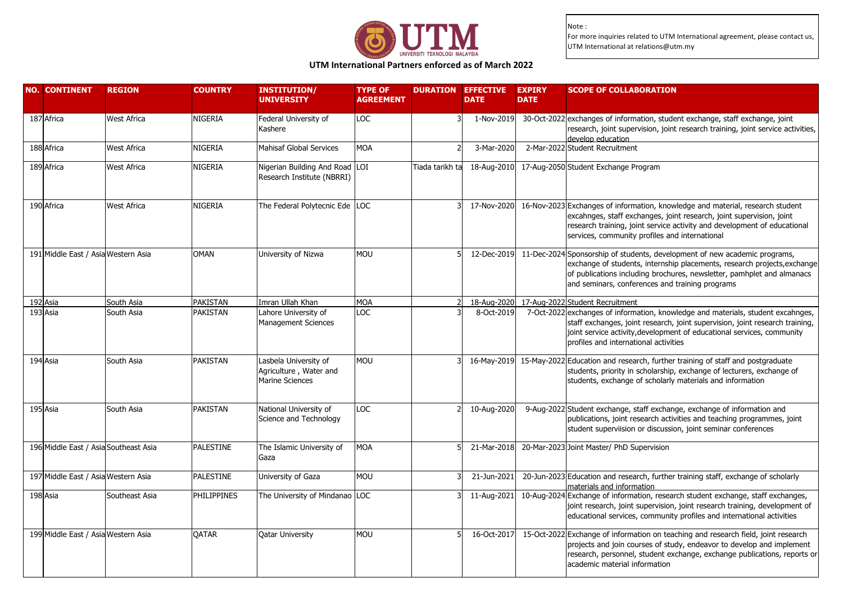

# **UTM International Partners enforced as of March 2022**

| <b>NO. CONTINENT</b>                  | <b>REGION</b>      | <b>COUNTRY</b> | <b>INSTITUTION/</b><br><b>UNIVERSITY</b>                                  | <b>TYPE OF</b><br><b>AGREEMENT</b> |                 | <b>DURATION EFFECTIVE</b><br><b>DATE</b> | <b>EXPIRY</b><br><b>DATE</b> | <b>SCOPE OF COLLABORATION</b>                                                                                                                                                                                                                                                        |
|---------------------------------------|--------------------|----------------|---------------------------------------------------------------------------|------------------------------------|-----------------|------------------------------------------|------------------------------|--------------------------------------------------------------------------------------------------------------------------------------------------------------------------------------------------------------------------------------------------------------------------------------|
| 187 Africa                            | West Africa        | NIGERIA        | Federal University of<br>Kashere                                          | LOC                                |                 | 1-Nov-2019                               |                              | 30-Oct-2022 exchanges of information, student exchange, staff exchange, joint<br>research, joint supervision, joint research training, joint service activities,<br>develop education                                                                                                |
| 188 Africa                            | <b>West Africa</b> | NIGERIA        | Mahisaf Global Services                                                   | <b>MOA</b>                         |                 | 3-Mar-2020                               |                              | 2-Mar-2022 Student Recruitment                                                                                                                                                                                                                                                       |
| 189 Africa                            | <b>West Africa</b> | NIGERIA        | Nigerian Building And Road LOI<br>Research Institute (NBRRI)              |                                    | Tiada tarikh ta | 18-Aug-2010                              |                              | 17-Aug-2050 Student Exchange Program                                                                                                                                                                                                                                                 |
| 190 Africa                            | <b>West Africa</b> | NIGERIA        | The Federal Polytecnic Ede LOC                                            |                                    |                 | 17-Nov-2020                              |                              | 16-Nov-2023 Exchanges of information, knowledge and material, research student<br>excahnges, staff exchanges, joint research, joint supervision, joint<br>research training, joint service activity and development of educational<br>services, community profiles and international |
| 191 Middle East / Asia Western Asia   |                    | <b>OMAN</b>    | University of Nizwa                                                       | <b>MOU</b>                         |                 | 12-Dec-2019                              |                              | 11-Dec-2024 Sponsorship of students, development of new academic programs,<br>exchange of students, internship placements, research projects, exchange<br>of publications including brochures, newsletter, pamhplet and almanacs<br>and seminars, conferences and training programs  |
| 192 Asia                              | South Asia         | PAKISTAN       | Imran Ullah Khan                                                          | <b>MOA</b>                         |                 | 18-Aug-2020                              |                              | 17-Aug-2022 Student Recruitment                                                                                                                                                                                                                                                      |
| 193 Asia                              | South Asia         | PAKISTAN       | Lahore University of<br>Management Sciences                               | LOC                                |                 | 8-Oct-2019                               |                              | 7-Oct-2022 exchanges of information, knowledge and materials, student excahnges,<br>staff exchanges, joint research, joint supervision, joint research training,<br>joint service activity, development of educational services, community<br>profiles and international activities  |
| 194 Asia                              | South Asia         | PAKISTAN       | Lasbela University of<br>Agriculture, Water and<br><b>Marine Sciences</b> | <b>MOU</b>                         |                 |                                          |                              | 16-May-2019 15-May-2022 Education and research, further training of staff and postgraduate<br>students, priority in scholarship, exchange of lecturers, exchange of<br>students, exchange of scholarly materials and information                                                     |
| 195 Asia                              | South Asia         | PAKISTAN       | National University of<br>Science and Technology                          | LOC                                |                 | 10-Aug-2020                              |                              | 9-Aug-2022 Student exchange, staff exchange, exchange of information and<br>publications, joint research activities and teaching programmes, joint<br>student superviision or discussion, joint seminar conferences                                                                  |
| 196 Middle East / Asia Southeast Asia |                    | PALESTINE      | The Islamic University of<br>Gaza                                         | <b>MOA</b>                         |                 | 21-Mar-2018                              |                              | 20-Mar-2023 Joint Master/ PhD Supervision                                                                                                                                                                                                                                            |
| 197 Middle East / Asia Western Asia   |                    | PALESTINE      | University of Gaza                                                        | <b>MOU</b>                         |                 | 21-Jun-2021                              |                              | 20-Jun-2023 Education and research, further training staff, exchange of scholarly<br>materials and information                                                                                                                                                                       |
| 198 Asia                              | Southeast Asia     | PHILIPPINES    | The University of Mindanao LOC                                            |                                    |                 | 11-Aug-2021                              |                              | 10-Aug-2024 Exchange of information, research student exchange, staff exchanges,<br>joint research, joint supervision, joint research training, development of<br>educational services, community profiles and international activities                                              |
| 199 Middle East / Asia Western Asia   |                    | QATAR          | <b>Qatar University</b>                                                   | <b>MOU</b>                         |                 | 16-Oct-2017                              |                              | 15-Oct-2022 Exchange of information on teaching and research field, joint research<br>projects and join courses of study, endeavor to develop and implement<br>research, personnel, student exchange, exchange publications, reports or<br>academic material information             |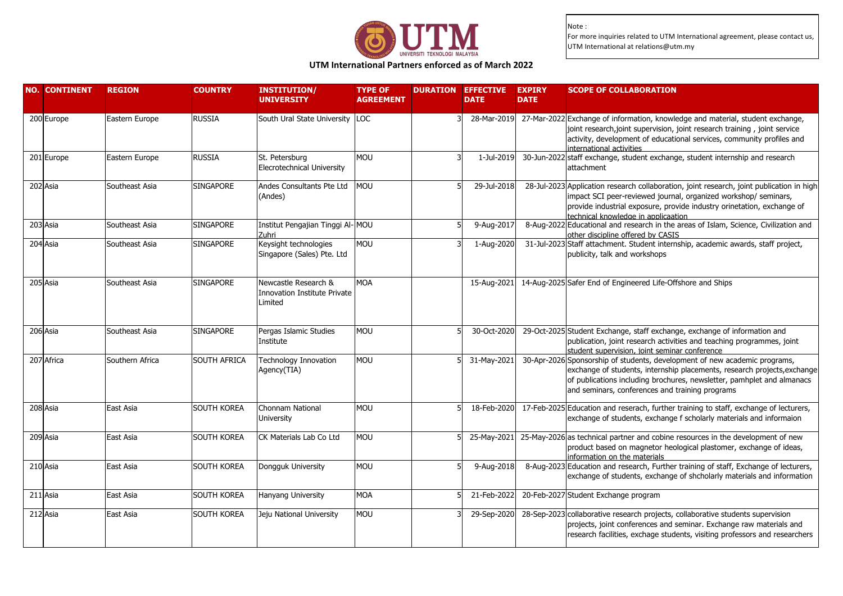

### **UTM International Partners enforced as of March 2022**

| <b>NO. CONTINENT</b> | <b>REGION</b>   | <b>COUNTRY</b>      | <b>INSTITUTION/</b><br><b>UNIVERSITY</b>                               | <b>TYPE OF</b><br><b>AGREEMENT</b> | <b>DURATION EFFECTIVE</b><br><b>DATE</b> | <b>EXPIRY</b><br><b>DATE</b> | <b>SCOPE OF COLLABORATION</b>                                                                                                                                                                                                                                                       |
|----------------------|-----------------|---------------------|------------------------------------------------------------------------|------------------------------------|------------------------------------------|------------------------------|-------------------------------------------------------------------------------------------------------------------------------------------------------------------------------------------------------------------------------------------------------------------------------------|
| 200 Europe           | Eastern Europe  | <b>RUSSIA</b>       | South Ural State University                                            | <b>LOC</b>                         |                                          |                              | 28-Mar-2019 27-Mar-2022 Exchange of information, knowledge and material, student exchange,<br>joint research, joint supervision, joint research training, joint service<br>activity, development of educational services, community profiles and<br>international activities        |
| 201 Europe           | Eastern Europe  | <b>RUSSIA</b>       | St. Petersburg<br>Elecrotechnical University                           | <b>MOU</b>                         | 1-Jul-2019                               |                              | 30-Jun-2022 staff exchange, student exchange, student internship and research<br>lattachment                                                                                                                                                                                        |
| 202 Asia             | Southeast Asia  | <b>SINGAPORE</b>    | Andes Consultants Pte Ltd<br>(Andes)                                   | MOU                                | 29-Jul-2018                              |                              | 28-Jul-2023 Application research collaboration, joint research, joint publication in high<br>impact SCI peer-reviewed journal, organized workshop/ seminars,<br>provide industrial exposure, provide industry orinetation, exchange of<br>technical knowledge in applicaation       |
| 203 Asia             | Southeast Asia  | <b>SINGAPORE</b>    | Institut Pengajian Tinggi Al-MOU<br>Zuhri                              |                                    | 9-Aug-2017                               |                              | 8-Aug-2022 Educational and research in the areas of Islam, Science, Civilization and<br>other discipline offered by CASIS                                                                                                                                                           |
| 204 Asia             | Southeast Asia  | <b>SINGAPORE</b>    | Keysight technologies<br>Singapore (Sales) Pte. Ltd                    | <b>MOU</b>                         | 1-Aug-2020                               |                              | 31-Jul-2023 Staff attachment. Student internship, academic awards, staff project,<br>publicity, talk and workshops                                                                                                                                                                  |
| 205 Asia             | Southeast Asia  | <b>SINGAPORE</b>    | Newcastle Research &<br><b>Innovation Institute Private</b><br>Limited | <b>MOA</b>                         |                                          |                              | 15-Aug-2021 14-Aug-2025 Safer End of Engineered Life-Offshore and Ships                                                                                                                                                                                                             |
| 206 Asia             | Southeast Asia  | <b>SINGAPORE</b>    | Pergas Islamic Studies<br>Institute                                    | <b>MOU</b>                         | 30-Oct-2020                              |                              | 29-Oct-2025 Student Exchange, staff exchange, exchange of information and<br>publication, joint research activities and teaching programmes, joint<br>student supervision, joint seminar conference                                                                                 |
| 207 Africa           | Southern Africa | <b>SOUTH AFRICA</b> | Technology Innovation<br>Agency(TIA)                                   | <b>MOU</b>                         | 31-May-2021                              |                              | 30-Apr-2026 Sponsorship of students, development of new academic programs,<br>exchange of students, internship placements, research projects, exchange<br>of publications including brochures, newsletter, pamhplet and almanacs<br>and seminars, conferences and training programs |
| 208 Asia             | East Asia       | <b>SOUTH KOREA</b>  | Chonnam National<br><b>University</b>                                  | <b>MOU</b>                         |                                          |                              | 18-Feb-2020 17-Feb-2025 Education and reserach, further training to staff, exchange of lecturers,<br>exchange of students, exchange f scholarly materials and informaion                                                                                                            |
| 209 Asia             | East Asia       | <b>SOUTH KOREA</b>  | CK Materials Lab Co Ltd                                                | <b>MOU</b>                         |                                          |                              | 25-May-2021 25-May-2026 as technical partner and cobine resources in the development of new<br>product based on magnetor heological plastomer, exchange of ideas,<br>information on the materials                                                                                   |
| 210 Asia             | East Asia       | <b>SOUTH KOREA</b>  | Dongguk University                                                     | <b>MOU</b>                         | 9-Aug-2018                               |                              | 8-Aug-2023 Education and research, Further training of staff, Exchange of lecturers,<br>exchange of students, exchange of shcholarly materials and information                                                                                                                      |
| 211 Asia             | East Asia       | <b>SOUTH KOREA</b>  | Hanyang University                                                     | <b>MOA</b>                         | 21-Feb-2022                              |                              | 20-Feb-2027 Student Exchange program                                                                                                                                                                                                                                                |
| 212 Asia             | East Asia       | <b>SOUTH KOREA</b>  | Jeju National University                                               | <b>MOU</b>                         |                                          |                              | 29-Sep-2020 28-Sep-2023 collaborative research projects, collaborative students supervision<br>projects, joint conferences and seminar. Exchange raw materials and<br>research facilities, exchage students, visiting professors and researchers                                    |
|                      |                 |                     |                                                                        |                                    |                                          |                              |                                                                                                                                                                                                                                                                                     |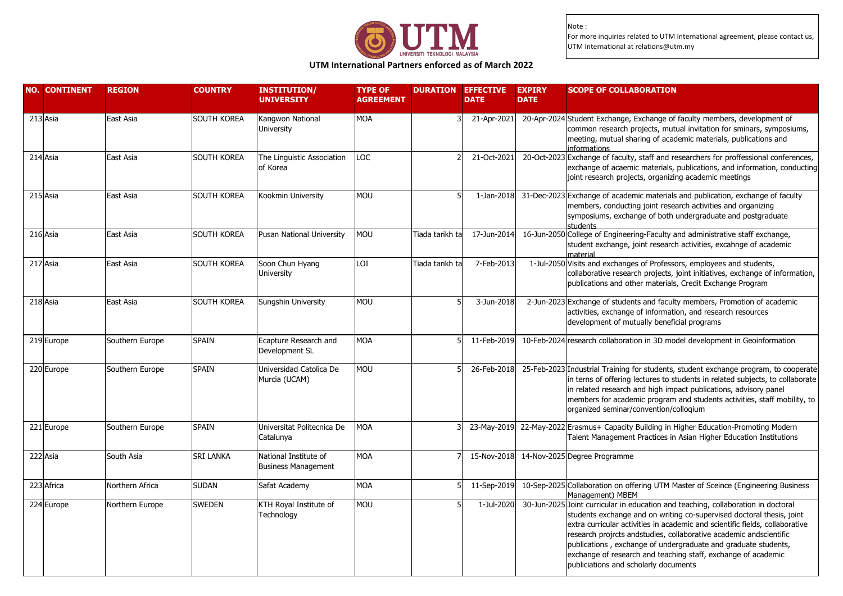

### **UTM International Partners enforced as of March 2022**

| <b>NO. CONTINENT</b> | <b>REGION</b>   | <b>COUNTRY</b>     | <b>INSTITUTION/</b><br><b>UNIVERSITY</b>            | <b>TYPE OF</b><br><b>AGREEMENT</b> | <b>DURATION EFFECTIVE</b> | <b>DATE</b> | <b>EXPIRY</b><br><b>DATE</b> | <b>SCOPE OF COLLABORATION</b>                                                                                                                                                                                                                                                                                                                                                                                                                                                                |
|----------------------|-----------------|--------------------|-----------------------------------------------------|------------------------------------|---------------------------|-------------|------------------------------|----------------------------------------------------------------------------------------------------------------------------------------------------------------------------------------------------------------------------------------------------------------------------------------------------------------------------------------------------------------------------------------------------------------------------------------------------------------------------------------------|
| 213 Asia             | East Asia       | <b>SOUTH KOREA</b> | Kangwon National<br><b>University</b>               | <b>MOA</b>                         |                           | 21-Apr-2021 |                              | 20-Apr-2024 Student Exchange, Exchange of faculty members, development of<br>common research projects, mutual invitation for sminars, symposiums,<br>meeting, mutual sharing of academic materials, publications and<br>informations                                                                                                                                                                                                                                                         |
| 214 Asia             | East Asia       | SOUTH KOREA        | The Linguistic Association<br>of Korea              | LOC                                |                           | 21-Oct-2021 |                              | 20-Oct-2023 Exchange of faculty, staff and researchers for proffessional conferences,<br>exchange of acaemic materials, publications, and information, conducting<br>joint research projects, organizing academic meetings                                                                                                                                                                                                                                                                   |
| 215 Asia             | East Asia       | SOUTH KOREA        | Kookmin University                                  | MOU                                |                           | 1-Jan-2018  |                              | 31-Dec-2023 Exchange of academic materials and publication, exchange of faculty<br>members, conducting joint research activities and organizing<br>symposiums, exchange of both undergraduate and postgraduate<br>students                                                                                                                                                                                                                                                                   |
| 216 Asia             | East Asia       | <b>SOUTH KOREA</b> | Pusan National University                           | MOU                                | Tiada tarikh ta           | 17-Jun-2014 |                              | 16-Jun-2050 College of Engineering-Faculty and administrative staff exchange,<br>student exchange, joint research activities, excahnge of academic<br>material                                                                                                                                                                                                                                                                                                                               |
| 217 Asia             | East Asia       | <b>SOUTH KOREA</b> | Soon Chun Hyang<br><b>University</b>                | LOI                                | Tiada tarikh ta           | 7-Feb-2013  |                              | 1-Jul-2050 Visits and exchanges of Professors, employees and students,<br>collaborative research projects, joint initiatives, exchange of information,<br>publications and other materials, Credit Exchange Program                                                                                                                                                                                                                                                                          |
| 218 Asia             | East Asia       | SOUTH KOREA        | Sungshin University                                 | MOU                                |                           | 3-Jun-2018  |                              | 2-Jun-2023 Exchange of students and faculty members, Promotion of academic<br>activities, exchange of information, and research resources<br>development of mutually beneficial programs                                                                                                                                                                                                                                                                                                     |
| 219 Europe           | Southern Europe | <b>SPAIN</b>       | Ecapture Research and<br>Development SL             | <b>MOA</b>                         |                           | 11-Feb-2019 |                              | 10-Feb-2024 research collaboration in 3D model development in Geoinformation                                                                                                                                                                                                                                                                                                                                                                                                                 |
| 220 Europe           | Southern Europe | <b>SPAIN</b>       | Universidad Catolica De<br>Murcia (UCAM)            | MOU                                |                           | 26-Feb-2018 |                              | 25-Feb-2023 Industrial Training for students, student exchange program, to cooperate<br>in terns of offering lectures to students in related subjects, to collaborate<br>in related research and high impact publications, advisory panel<br>members for academic program and students activities, staff mobility, to<br>organized seminar/convention/colloqium                                                                                                                              |
| 221 Europe           | Southern Europe | <b>SPAIN</b>       | Universitat Politecnica De<br>Catalunya             | <b>MOA</b>                         |                           |             |                              | 23-May-2019 22-May-2022 Erasmus+ Capacity Building in Higher Education-Promoting Modern<br>Talent Management Practices in Asian Higher Education Institutions                                                                                                                                                                                                                                                                                                                                |
| 222 Asia             | South Asia      | <b>SRI LANKA</b>   | National Institute of<br><b>Business Management</b> | <b>MOA</b>                         |                           | 15-Nov-2018 |                              | 14-Nov-2025 Degree Programme                                                                                                                                                                                                                                                                                                                                                                                                                                                                 |
| 223 Africa           | Northern Africa | <b>SUDAN</b>       | Safat Academy                                       | <b>MOA</b>                         |                           | 11-Sep-2019 |                              | 10-Sep-2025 Collaboration on offering UTM Master of Sceince (Engineering Business<br>Management) MBEM                                                                                                                                                                                                                                                                                                                                                                                        |
| 224 Europe           | Northern Europe | <b>SWEDEN</b>      | KTH Royal Institute of<br>Technology                | MOU                                |                           | 1-Jul-2020  |                              | 30-Jun-2025 Joint curricular in education and teaching, collaboration in doctoral<br>students exchange and on writing co-supervised doctoral thesis, joint<br>extra curricular activities in academic and scientific fields, collaborative<br>research projrcts andstudies, collaborative academic andscientific<br>publications, exchange of undergraduate and graduate students,<br>exchange of research and teaching staff, exchange of academic<br>publiciations and scholarly documents |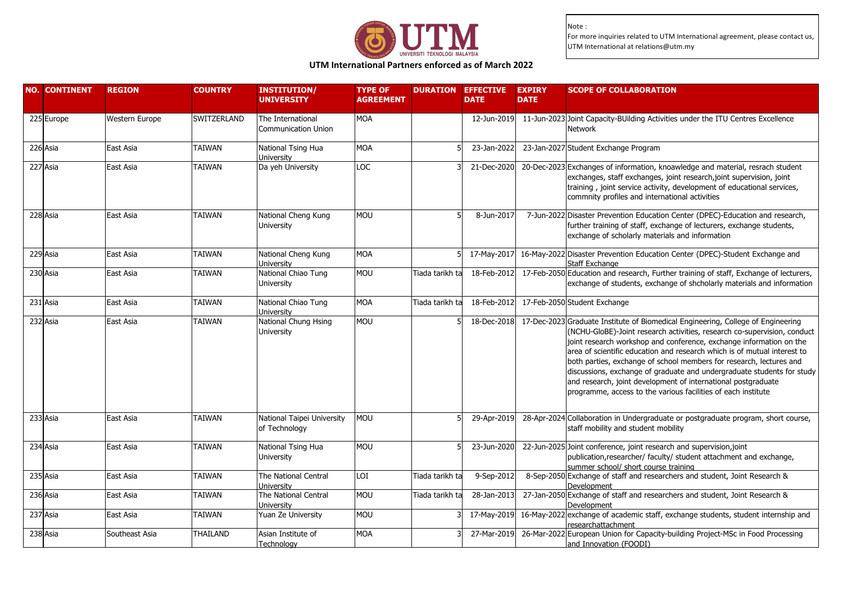

# **UTM International Partners enforced as of March 2022**

| <b>NO. CONTINENT</b> | <b>REGION</b>         | <b>COUNTRY</b>     | <b>INSTITUTION/</b><br><b>UNIVERSITY</b>        | <b>TYPE OF</b><br><b>AGREEMENT</b> | <b>DURATION EFFECTIVE</b> | <b>DATE</b> | <b>EXPIRY</b><br><b>DATE</b> | <b>SCOPE OF COLLABORATION</b>                                                                                                                                                                                                                                                                                                                                                                                                                                                                                                                                                                      |
|----------------------|-----------------------|--------------------|-------------------------------------------------|------------------------------------|---------------------------|-------------|------------------------------|----------------------------------------------------------------------------------------------------------------------------------------------------------------------------------------------------------------------------------------------------------------------------------------------------------------------------------------------------------------------------------------------------------------------------------------------------------------------------------------------------------------------------------------------------------------------------------------------------|
| 225 Europe           | <b>Western Europe</b> | <b>SWITZERLAND</b> | The International<br><b>Communication Union</b> | <b>MOA</b>                         |                           | 12-Jun-2019 |                              | 11-Jun-2023 Joint Capacity-BUilding Activities under the ITU Centres Excellence<br><b>Network</b>                                                                                                                                                                                                                                                                                                                                                                                                                                                                                                  |
| 226 Asia             | East Asia             | TAIWAN             | National Tsing Hua<br>University                | MOA                                |                           | 23-Jan-2022 |                              | 23-Jan-2027 Student Exchange Program                                                                                                                                                                                                                                                                                                                                                                                                                                                                                                                                                               |
| 227 Asia             | East Asia             | TAIWAN             | Da yeh University                               | LOC                                |                           | 21-Dec-2020 |                              | 20-Dec-2023 Exchanges of information, knoawledge and material, resrach student<br>exchanges, staff exchanges, joint research, joint supervision, joint<br>training, joint service activity, development of educational services,<br>commnity profiles and international activities                                                                                                                                                                                                                                                                                                                 |
| 228 Asia             | East Asia             | <b>TAIWAN</b>      | National Cheng Kung<br>University               | <b>MOU</b>                         |                           | 8-Jun-2017  |                              | 7-Jun-2022 Disaster Prevention Education Center (DPEC)-Education and research,<br>further training of staff, exchange of lecturers, exchange students,<br>exchange of scholarly materials and information                                                                                                                                                                                                                                                                                                                                                                                          |
| 229 Asia             | East Asia             | TAIWAN             | National Cheng Kung<br>University               | MOA                                |                           | 17-May-2017 |                              | 16-May-2022 Disaster Prevention Education Center (DPEC)-Student Exchange and<br><b>Staff Exchange</b>                                                                                                                                                                                                                                                                                                                                                                                                                                                                                              |
| 230 Asia             | East Asia             | <b>TAIWAN</b>      | National Chiao Tung<br>University               | MOU                                | Tiada tarikh ta           | 18-Feb-2012 |                              | 17-Feb-2050 Education and research, Further training of staff, Exchange of lecturers,<br>exchange of students, exchange of shcholarly materials and information                                                                                                                                                                                                                                                                                                                                                                                                                                    |
| 231 Asia             | East Asia             | <b>TAIWAN</b>      | National Chiao Tung<br>University               | <b>MOA</b>                         | Tiada tarikh ta           | 18-Feb-2012 |                              | 17-Feb-2050 Student Exchange                                                                                                                                                                                                                                                                                                                                                                                                                                                                                                                                                                       |
| 232 Asia             | East Asia             | TAIWAN             | National Chung Hsing<br>University              | MOU                                |                           | 18-Dec-2018 |                              | 17-Dec-2023 Graduate Institute of Biomedical Engineering, College of Engineering<br>(NCHU-GloBE)-Joint research activities, research co-supervision, conduct<br>joint research workshop and conference, exchange information on the<br>area of scientific education and research which is of mutual interest to<br>both parties, exchange of school members for research, lectures and<br>discussions, exchange of graduate and undergraduate students for study<br>and research, joint development of international postgraduate<br>programme, access to the various facilities of each institute |
| 233 Asia             | East Asia             | <b>TAIWAN</b>      | National Taipei University<br>of Technology     | MOU                                |                           | 29-Apr-2019 |                              | 28-Apr-2024 Collaboration in Undergraduate or postgraduate program, short course,<br>staff mobility and student mobility                                                                                                                                                                                                                                                                                                                                                                                                                                                                           |
| 234 Asia             | East Asia             | <b>TAIWAN</b>      | National Tsing Hua<br>University                | <b>MOU</b>                         |                           | 23-Jun-2020 |                              | 22-Jun-2025 Joint conference, joint research and supervision, joint<br>publication, researcher/ faculty/ student attachment and exchange,<br>summer school/ short course training                                                                                                                                                                                                                                                                                                                                                                                                                  |
| 235 Asia             | East Asia             | <b>TAIWAN</b>      | The National Central<br>University              | LOI                                | Tiada tarikh ta           | 9-Sep-2012  |                              | 8-Sep-2050 Exchange of staff and researchers and student, Joint Research &<br>Development                                                                                                                                                                                                                                                                                                                                                                                                                                                                                                          |
| 236 Asia             | East Asia             | TAIWAN             | The National Central<br>University              | MOU                                | Tiada tarikh ta           | 28-Jan-2013 |                              | 27-Jan-2050 Exchange of staff and researchers and student, Joint Research &<br>Development                                                                                                                                                                                                                                                                                                                                                                                                                                                                                                         |
| 237 Asia             | East Asia             | TAIWAN             | Yuan Ze University                              | MOU                                |                           | 17-May-2019 |                              | 16-May-2022 exchange of academic staff, exchange students, student internship and<br>esearchattachment                                                                                                                                                                                                                                                                                                                                                                                                                                                                                             |
| 238 Asia             | Southeast Asia        | THAILAND           | Asian Institute of<br>Technology                | <b>MOA</b>                         |                           | 27-Mar-2019 |                              | 26-Mar-2022 European Union for Capacity-building Project-MSc in Food Processing<br>and Innovation (FOODI)                                                                                                                                                                                                                                                                                                                                                                                                                                                                                          |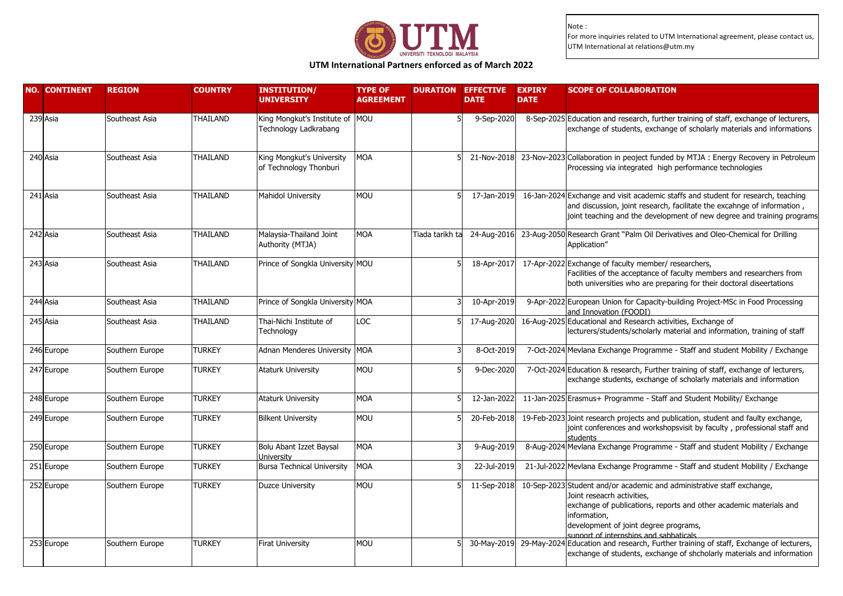

### **UTM International Partners enforced as of March 2022**

| <b>NO. CONTINENT</b> | <b>REGION</b>   | <b>COUNTRY</b>  | <b>INSTITUTION/</b><br><b>UNIVERSITY</b>                 | <b>TYPE OF</b><br><b>AGREEMENT</b> | <b>DURATION EFFECTIVE</b> | <b>DATE</b> | <b>EXPIRY</b><br><b>DATE</b> | <b>SCOPE OF COLLABORATION</b>                                                                                                                                                                                                                                                 |
|----------------------|-----------------|-----------------|----------------------------------------------------------|------------------------------------|---------------------------|-------------|------------------------------|-------------------------------------------------------------------------------------------------------------------------------------------------------------------------------------------------------------------------------------------------------------------------------|
| 239 Asia             | Southeast Asia  | <b>THAILAND</b> | King Mongkut's Institute of MOU<br>Technology Ladkrabang |                                    |                           | 9-Sep-2020  |                              | 8-Sep-2025 Education and research, further training of staff, exchange of lecturers,<br>exchange of students, exchange of scholarly materials and informations                                                                                                                |
| 240 Asia             | Southeast Asia  | <b>THAILAND</b> | King Mongkut's University<br>of Technology Thonburi      | <b>MOA</b>                         |                           | 21-Nov-2018 |                              | 23-Nov-2023 Collaboration in peoject funded by MTJA: Energy Recovery in Petroleum<br>Processing via integrated high performance technologies                                                                                                                                  |
| 241 Asia             | Southeast Asia  | <b>THAILAND</b> | Mahidol University                                       | <b>MOU</b>                         |                           | 17-Jan-2019 |                              | 16-Jan-2024 Exchange and visit academic staffs and student for research, teaching<br>and discussion, joint research, facilitate the excahnge of information,<br>joint teaching and the development of new degree and training programs                                        |
| 242 Asia             | Southeast Asia  | <b>THAILAND</b> | Malaysia-Thailand Joint<br>Authority (MTJA)              | <b>MOA</b>                         | Tiada tarikh ta           | 24-Aug-2016 |                              | 23-Aug-2050 Research Grant "Palm Oil Derivatives and Oleo-Chemical for Drilling<br>Application"                                                                                                                                                                               |
| 243 Asia             | Southeast Asia  | THAILAND        | Prince of Songkla University MOU                         |                                    |                           | 18-Apr-2017 |                              | 17-Apr-2022 Exchange of faculty member/ researchers,<br>Facilities of the acceptance of faculty members and researchers from<br>both universities who are preparing for their doctoral diseertations                                                                          |
| 244 Asia             | Southeast Asia  | THAILAND        | Prince of Songkla University MOA                         |                                    |                           | 10-Apr-2019 |                              | 9-Apr-2022 European Union for Capacity-building Project-MSc in Food Processing<br>and Innovation (FOODI)                                                                                                                                                                      |
| 245 Asia             | Southeast Asia  | THAILAND        | Thai-Nichi Institute of<br>Technology                    | LOC                                |                           | 17-Aug-2020 |                              | 16-Aug-2025 Educational and Research activities, Exchange of<br>lecturers/students/scholarly material and information, training of staff                                                                                                                                      |
| 246 Europe           | Southern Europe | <b>TURKEY</b>   | Adnan Menderes University MOA                            |                                    |                           | 8-Oct-2019  |                              | 7-Oct-2024 Mevlana Exchange Programme - Staff and student Mobility / Exchange                                                                                                                                                                                                 |
| 247 Europe           | Southern Europe | <b>TURKEY</b>   | <b>Ataturk University</b>                                | <b>MOU</b>                         |                           | 9-Dec-2020  |                              | 7-Oct-2024 Education & research, Further training of staff, exchange of lecturers,<br>exchange students, exchange of scholarly materials and information                                                                                                                      |
| 248 Europe           | Southern Europe | <b>TURKEY</b>   | <b>Ataturk University</b>                                | <b>MOA</b>                         |                           | 12-Jan-2022 |                              | 11-Jan-2025 Erasmus+ Programme - Staff and Student Mobility/ Exchange                                                                                                                                                                                                         |
| 249 Europe           | Southern Europe | <b>TURKEY</b>   | <b>Bilkent University</b>                                | <b>MOU</b>                         |                           | 20-Feb-2018 |                              | 19-Feb-2023 Joint research projects and publication, student and faulty exchange,<br>joint conferences and workshopsvisit by faculty, professional staff and<br>students                                                                                                      |
| 250 Europe           | Southern Europe | <b>TURKEY</b>   | Bolu Abant Izzet Baysal<br>University                    | <b>MOA</b>                         |                           | 9-Aug-2019  |                              | 8-Aug-2024 Mevlana Exchange Programme - Staff and student Mobility / Exchange                                                                                                                                                                                                 |
| 251 Europe           | Southern Europe | <b>TURKEY</b>   | <b>Bursa Technical University</b>                        | <b>MOA</b>                         |                           | 22-Jul-2019 |                              | 21-Jul-2022 Mevlana Exchange Programme - Staff and student Mobility / Exchange                                                                                                                                                                                                |
| 252 Europe           | Southern Europe | <b>TURKEY</b>   | Duzce University                                         | <b>MOU</b>                         |                           | 11-Sep-2018 |                              | 10-Sep-2023 Student and/or academic and administrative staff exchange,<br>Joint reseacrh activities,<br>exchange of publications, reports and other academic materials and<br>information,<br>development of joint degree programs,<br>support of internshins and sabbaticals |
| 253 Europe           | Southern Europe | <b>TURKEY</b>   | Firat University                                         | <b>MOU</b>                         |                           |             |                              | 30-May-2019 29-May-2024 Education and research, Further training of staff, Exchange of lecturers,<br>exchange of students, exchange of shcholarly materials and information                                                                                                   |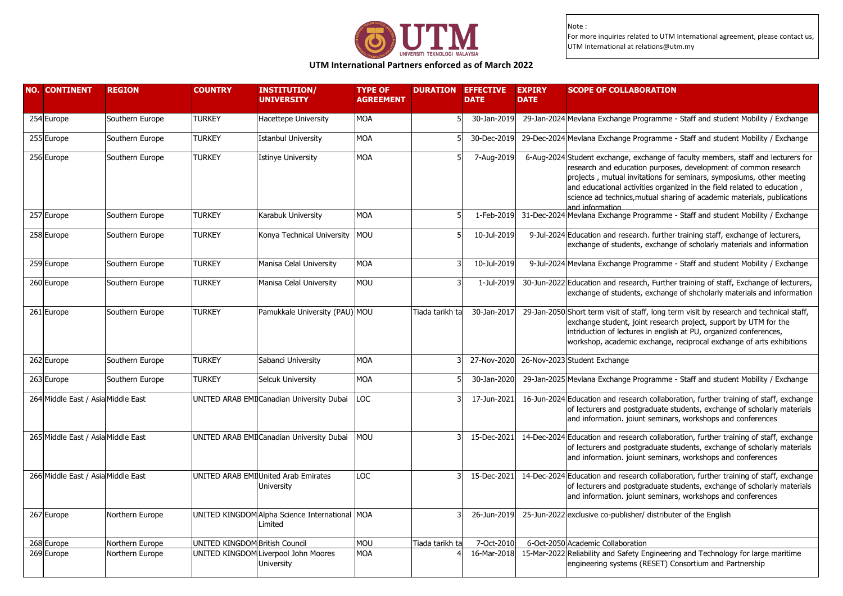

# **UTM International Partners enforced as of March 2022**

| 254 Europe<br><b>TURKEY</b><br><b>MOA</b><br>Southern Europe<br><b>Hacettepe University</b><br>30-Jan-2019<br>29-Jan-2024 Mevlana Exchange Programme - Staff and student Mobility / Exchange<br>255 Europe<br>29-Dec-2024 Mevlana Exchange Programme - Staff and student Mobility / Exchange<br><b>TURKEY</b><br><b>Istanbul University</b><br><b>MOA</b><br>30-Dec-2019<br>Southern Europe<br>256 Europe<br><b>TURKEY</b><br><b>MOA</b><br>7-Aug-2019<br>6-Aug-2024 Student exchange, exchange of faculty members, staff and lecturers for<br>Southern Europe<br><b>Istinye University</b><br>research and education purposes, development of common research<br>projects, mutual invitations for seminars, symposiums, other meeting<br>and educational activities organized in the field related to education,<br>science ad technics, mutual sharing of academic materials, publications<br>and information<br><b>TURKEY</b><br>1-Feb-2019 31-Dec-2024 Mevlana Exchange Programme - Staff and student Mobility / Exchange<br>257 Europe<br>Southern Europe<br>Karabuk University<br>MOA<br>258 Europe<br><b>TURKEY</b><br>MOU<br>10-Jul-2019<br>9-Jul-2024 Education and research. further training staff, exchange of lecturers,<br>Southern Europe<br>Konya Technical University<br>exchange of students, exchange of scholarly materials and information<br>259 Europe<br><b>TURKEY</b><br><b>MOA</b><br>10-Jul-2019<br>9-Jul-2024 Mevlana Exchange Programme - Staff and student Mobility / Exchange<br>Southern Europe<br>Manisa Celal University<br>260 Europe<br>30-Jun-2022 Education and research, Further training of staff, Exchange of lecturers,<br><b>TURKEY</b><br>Manisa Celal University<br><b>MOU</b><br>Southern Europe<br>1-Jul-2019<br>exchange of students, exchange of shcholarly materials and information<br>29-Jan-2050 Short term visit of staff, long term visit by research and technical staff,<br>261 Europe<br><b>TURKEY</b><br>Pamukkale University (PAU) MOU<br>Tiada tarikh ta<br>30-Jan-2017<br>Southern Europe<br>exchange student, joint research project, support by UTM for the<br>intriduction of lectures in english at PU, organized conferences,<br>workshop, academic exchange, reciprocal exchange of arts exhibitions<br><b>TURKEY</b><br><b>MOA</b><br>27-Nov-2020 26-Nov-2023 Student Exchange<br>262 Europe<br>Southern Europe<br>Sabanci University<br><b>TURKEY</b><br>263 Europe<br><b>MOA</b><br>29-Jan-2025 Mevlana Exchange Programme - Staff and student Mobility / Exchange<br>Southern Europe<br>Selcuk University<br>30-Jan-2020<br>264 Middle East / Asia Middle East<br>UNITED ARAB EMI Canadian University Dubai<br>LOC<br>17-Jun-2021<br>16-Jun-2024 Education and research collaboration, further training of staff, exchange<br>of lecturers and postgraduate students, exchange of scholarly materials<br>and information. joiunt seminars, workshops and conferences<br>265 Middle East / Asia Middle East<br><b>MOU</b><br>UNITED ARAB EMI Canadian University Dubai<br>15-Dec-2021<br>14-Dec-2024 Education and research collaboration, further training of staff, exchange<br>of lecturers and postgraduate students, exchange of scholarly materials<br>and information. joiunt seminars, workshops and conferences |  |
|-------------------------------------------------------------------------------------------------------------------------------------------------------------------------------------------------------------------------------------------------------------------------------------------------------------------------------------------------------------------------------------------------------------------------------------------------------------------------------------------------------------------------------------------------------------------------------------------------------------------------------------------------------------------------------------------------------------------------------------------------------------------------------------------------------------------------------------------------------------------------------------------------------------------------------------------------------------------------------------------------------------------------------------------------------------------------------------------------------------------------------------------------------------------------------------------------------------------------------------------------------------------------------------------------------------------------------------------------------------------------------------------------------------------------------------------------------------------------------------------------------------------------------------------------------------------------------------------------------------------------------------------------------------------------------------------------------------------------------------------------------------------------------------------------------------------------------------------------------------------------------------------------------------------------------------------------------------------------------------------------------------------------------------------------------------------------------------------------------------------------------------------------------------------------------------------------------------------------------------------------------------------------------------------------------------------------------------------------------------------------------------------------------------------------------------------------------------------------------------------------------------------------------------------------------------------------------------------------------------------------------------------------------------------------------------------------------------------------------------------------------------------------------------------------------------------------------------------------------------------------------------------------------------------------------------------------------------------------------------------------------------------------------------------------------------------------------------------------------------------------------------------------------------------------------------------------------------------------------------------------------------------------------------------------|--|
|                                                                                                                                                                                                                                                                                                                                                                                                                                                                                                                                                                                                                                                                                                                                                                                                                                                                                                                                                                                                                                                                                                                                                                                                                                                                                                                                                                                                                                                                                                                                                                                                                                                                                                                                                                                                                                                                                                                                                                                                                                                                                                                                                                                                                                                                                                                                                                                                                                                                                                                                                                                                                                                                                                                                                                                                                                                                                                                                                                                                                                                                                                                                                                                                                                                                                                 |  |
|                                                                                                                                                                                                                                                                                                                                                                                                                                                                                                                                                                                                                                                                                                                                                                                                                                                                                                                                                                                                                                                                                                                                                                                                                                                                                                                                                                                                                                                                                                                                                                                                                                                                                                                                                                                                                                                                                                                                                                                                                                                                                                                                                                                                                                                                                                                                                                                                                                                                                                                                                                                                                                                                                                                                                                                                                                                                                                                                                                                                                                                                                                                                                                                                                                                                                                 |  |
|                                                                                                                                                                                                                                                                                                                                                                                                                                                                                                                                                                                                                                                                                                                                                                                                                                                                                                                                                                                                                                                                                                                                                                                                                                                                                                                                                                                                                                                                                                                                                                                                                                                                                                                                                                                                                                                                                                                                                                                                                                                                                                                                                                                                                                                                                                                                                                                                                                                                                                                                                                                                                                                                                                                                                                                                                                                                                                                                                                                                                                                                                                                                                                                                                                                                                                 |  |
|                                                                                                                                                                                                                                                                                                                                                                                                                                                                                                                                                                                                                                                                                                                                                                                                                                                                                                                                                                                                                                                                                                                                                                                                                                                                                                                                                                                                                                                                                                                                                                                                                                                                                                                                                                                                                                                                                                                                                                                                                                                                                                                                                                                                                                                                                                                                                                                                                                                                                                                                                                                                                                                                                                                                                                                                                                                                                                                                                                                                                                                                                                                                                                                                                                                                                                 |  |
|                                                                                                                                                                                                                                                                                                                                                                                                                                                                                                                                                                                                                                                                                                                                                                                                                                                                                                                                                                                                                                                                                                                                                                                                                                                                                                                                                                                                                                                                                                                                                                                                                                                                                                                                                                                                                                                                                                                                                                                                                                                                                                                                                                                                                                                                                                                                                                                                                                                                                                                                                                                                                                                                                                                                                                                                                                                                                                                                                                                                                                                                                                                                                                                                                                                                                                 |  |
|                                                                                                                                                                                                                                                                                                                                                                                                                                                                                                                                                                                                                                                                                                                                                                                                                                                                                                                                                                                                                                                                                                                                                                                                                                                                                                                                                                                                                                                                                                                                                                                                                                                                                                                                                                                                                                                                                                                                                                                                                                                                                                                                                                                                                                                                                                                                                                                                                                                                                                                                                                                                                                                                                                                                                                                                                                                                                                                                                                                                                                                                                                                                                                                                                                                                                                 |  |
|                                                                                                                                                                                                                                                                                                                                                                                                                                                                                                                                                                                                                                                                                                                                                                                                                                                                                                                                                                                                                                                                                                                                                                                                                                                                                                                                                                                                                                                                                                                                                                                                                                                                                                                                                                                                                                                                                                                                                                                                                                                                                                                                                                                                                                                                                                                                                                                                                                                                                                                                                                                                                                                                                                                                                                                                                                                                                                                                                                                                                                                                                                                                                                                                                                                                                                 |  |
|                                                                                                                                                                                                                                                                                                                                                                                                                                                                                                                                                                                                                                                                                                                                                                                                                                                                                                                                                                                                                                                                                                                                                                                                                                                                                                                                                                                                                                                                                                                                                                                                                                                                                                                                                                                                                                                                                                                                                                                                                                                                                                                                                                                                                                                                                                                                                                                                                                                                                                                                                                                                                                                                                                                                                                                                                                                                                                                                                                                                                                                                                                                                                                                                                                                                                                 |  |
|                                                                                                                                                                                                                                                                                                                                                                                                                                                                                                                                                                                                                                                                                                                                                                                                                                                                                                                                                                                                                                                                                                                                                                                                                                                                                                                                                                                                                                                                                                                                                                                                                                                                                                                                                                                                                                                                                                                                                                                                                                                                                                                                                                                                                                                                                                                                                                                                                                                                                                                                                                                                                                                                                                                                                                                                                                                                                                                                                                                                                                                                                                                                                                                                                                                                                                 |  |
|                                                                                                                                                                                                                                                                                                                                                                                                                                                                                                                                                                                                                                                                                                                                                                                                                                                                                                                                                                                                                                                                                                                                                                                                                                                                                                                                                                                                                                                                                                                                                                                                                                                                                                                                                                                                                                                                                                                                                                                                                                                                                                                                                                                                                                                                                                                                                                                                                                                                                                                                                                                                                                                                                                                                                                                                                                                                                                                                                                                                                                                                                                                                                                                                                                                                                                 |  |
|                                                                                                                                                                                                                                                                                                                                                                                                                                                                                                                                                                                                                                                                                                                                                                                                                                                                                                                                                                                                                                                                                                                                                                                                                                                                                                                                                                                                                                                                                                                                                                                                                                                                                                                                                                                                                                                                                                                                                                                                                                                                                                                                                                                                                                                                                                                                                                                                                                                                                                                                                                                                                                                                                                                                                                                                                                                                                                                                                                                                                                                                                                                                                                                                                                                                                                 |  |
|                                                                                                                                                                                                                                                                                                                                                                                                                                                                                                                                                                                                                                                                                                                                                                                                                                                                                                                                                                                                                                                                                                                                                                                                                                                                                                                                                                                                                                                                                                                                                                                                                                                                                                                                                                                                                                                                                                                                                                                                                                                                                                                                                                                                                                                                                                                                                                                                                                                                                                                                                                                                                                                                                                                                                                                                                                                                                                                                                                                                                                                                                                                                                                                                                                                                                                 |  |
| 266 Middle East / Asia Middle East<br>UNITED ARAB EMI United Arab Emirates<br>LOC<br>15-Dec-2021 14-Dec-2024 Education and research collaboration, further training of staff, exchange<br>of lecturers and postgraduate students, exchange of scholarly materials<br>University<br>and information. joiunt seminars, workshops and conferences                                                                                                                                                                                                                                                                                                                                                                                                                                                                                                                                                                                                                                                                                                                                                                                                                                                                                                                                                                                                                                                                                                                                                                                                                                                                                                                                                                                                                                                                                                                                                                                                                                                                                                                                                                                                                                                                                                                                                                                                                                                                                                                                                                                                                                                                                                                                                                                                                                                                                                                                                                                                                                                                                                                                                                                                                                                                                                                                                  |  |
| 267 Europe<br>UNITED KINGDOM Alpha Science International MOA<br>25-Jun-2022 exclusive co-publisher/ distributer of the English<br>Northern Europe<br>26-Jun-2019<br>Limited                                                                                                                                                                                                                                                                                                                                                                                                                                                                                                                                                                                                                                                                                                                                                                                                                                                                                                                                                                                                                                                                                                                                                                                                                                                                                                                                                                                                                                                                                                                                                                                                                                                                                                                                                                                                                                                                                                                                                                                                                                                                                                                                                                                                                                                                                                                                                                                                                                                                                                                                                                                                                                                                                                                                                                                                                                                                                                                                                                                                                                                                                                                     |  |
| <b>MOU</b><br>268 Europe<br>UNITED KINGDOM British Council<br>Tiada tarikh ta<br>7-Oct-2010<br>6-Oct-2050 Academic Collaboration<br>Northern Europe                                                                                                                                                                                                                                                                                                                                                                                                                                                                                                                                                                                                                                                                                                                                                                                                                                                                                                                                                                                                                                                                                                                                                                                                                                                                                                                                                                                                                                                                                                                                                                                                                                                                                                                                                                                                                                                                                                                                                                                                                                                                                                                                                                                                                                                                                                                                                                                                                                                                                                                                                                                                                                                                                                                                                                                                                                                                                                                                                                                                                                                                                                                                             |  |
| 269 Europe<br>UNITED KINGDOM Liverpool John Moores<br>15-Mar-2022 Reliability and Safety Engineering and Technology for large maritime<br>Northern Europe<br><b>MOA</b><br>16-Mar-2018<br>engineering systems (RESET) Consortium and Partnership<br><b>University</b>                                                                                                                                                                                                                                                                                                                                                                                                                                                                                                                                                                                                                                                                                                                                                                                                                                                                                                                                                                                                                                                                                                                                                                                                                                                                                                                                                                                                                                                                                                                                                                                                                                                                                                                                                                                                                                                                                                                                                                                                                                                                                                                                                                                                                                                                                                                                                                                                                                                                                                                                                                                                                                                                                                                                                                                                                                                                                                                                                                                                                           |  |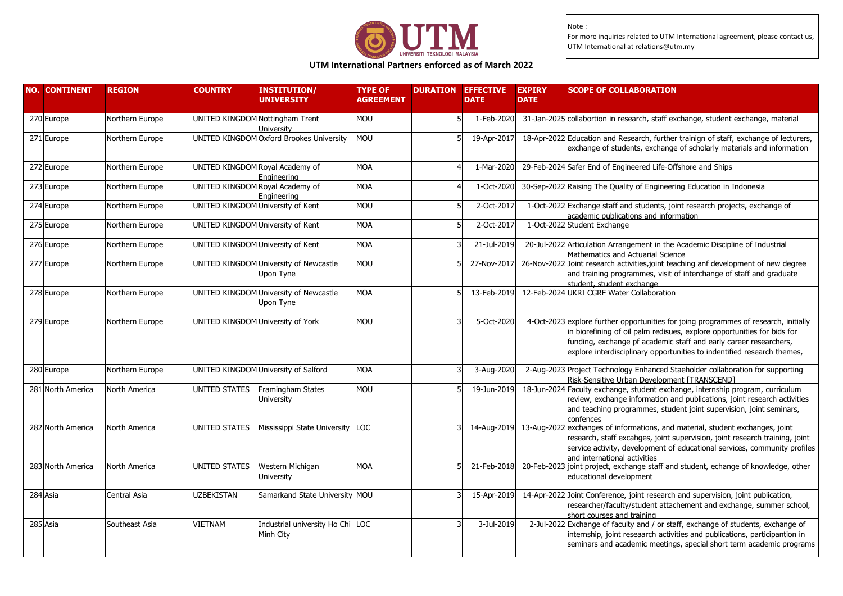

# **UTM International Partners enforced as of March 2022**

| <b>NO. CONTINENT</b> | <b>REGION</b>   | <b>COUNTRY</b>                    | <b>INSTITUTION/</b><br><b>UNIVERSITY</b>            | <b>TYPE OF</b><br><b>AGREEMENT</b> | <b>DURATION EFFECTIVE</b><br><b>DATE</b> | <b>EXPIRY</b><br><b>DATE</b> | <b>SCOPE OF COLLABORATION</b>                                                                                                                                                                                                                                                                                   |
|----------------------|-----------------|-----------------------------------|-----------------------------------------------------|------------------------------------|------------------------------------------|------------------------------|-----------------------------------------------------------------------------------------------------------------------------------------------------------------------------------------------------------------------------------------------------------------------------------------------------------------|
| 270 Europe           | Northern Europe | UNITED KINGDOM Nottingham Trent   | University                                          | <b>MOU</b>                         | 1-Feb-2020                               |                              | 31-Jan-2025 collabortion in research, staff exchange, student exchange, material                                                                                                                                                                                                                                |
| 271 Europe           | Northern Europe |                                   | UNITED KINGDOM Oxford Brookes University            | <b>MOU</b>                         | 19-Apr-2017                              |                              | 18-Apr-2022 Education and Research, further trainign of staff, exchange of lecturers,<br>exchange of students, exchange of scholarly materials and information                                                                                                                                                  |
| 272 Europe           | Northern Europe | UNITED KINGDOM Royal Academy of   | Engineering                                         | <b>MOA</b>                         | 1-Mar-2020                               |                              | 29-Feb-2024 Safer End of Engineered Life-Offshore and Ships                                                                                                                                                                                                                                                     |
| 273 Europe           | Northern Europe |                                   | UNITED KINGDOM Royal Academy of<br>Engineering      | <b>MOA</b>                         | 1-Oct-2020                               |                              | 30-Sep-2022 Raising The Quality of Engineering Education in Indonesia                                                                                                                                                                                                                                           |
| 274 Europe           | Northern Europe | UNITED KINGDOM University of Kent |                                                     | <b>MOU</b>                         | 2-Oct-2017                               |                              | 1-Oct-2022 Exchange staff and students, joint research projects, exchange of<br>academic publications and information                                                                                                                                                                                           |
| 275 Europe           | Northern Europe | UNITED KINGDOM University of Kent |                                                     | <b>MOA</b>                         | 2-Oct-2017                               |                              | 1-Oct-2022 Student Exchange                                                                                                                                                                                                                                                                                     |
| 276 Europe           | Northern Europe | UNITED KINGDOM University of Kent |                                                     | <b>MOA</b>                         | 21-Jul-2019                              |                              | 20-Jul-2022 Articulation Arrangement in the Academic Discipline of Industrial<br>Mathematics and Actuarial Science                                                                                                                                                                                              |
| 277 Europe           | Northern Europe |                                   | UNITED KINGDOM University of Newcastle<br>Upon Tyne | <b>MOU</b>                         | 27-Nov-2017                              |                              | 26-Nov-2022 Joint research activities, joint teaching anf development of new degree<br>and training programmes, visit of interchange of staff and graduate<br>student, student exchange                                                                                                                         |
| 278 Europe           | Northern Europe |                                   | UNITED KINGDOM University of Newcastle<br>Upon Tyne | <b>MOA</b>                         | 13-Feb-2019                              |                              | 12-Feb-2024 UKRI CGRF Water Collaboration                                                                                                                                                                                                                                                                       |
| 279 Europe           | Northern Europe | UNITED KINGDOM University of York |                                                     | <b>MOU</b>                         | 5-Oct-2020                               |                              | 4-Oct-2023 explore further opportunities for joing programmes of research, initially<br>in biorefining of oil palm redisues, explore opportunities for bids for<br>funding, exchange pf academic staff and early career researchers,<br>explore interdisciplinary opportunities to indentified research themes, |
| 280 Europe           | Northern Europe |                                   | UNITED KINGDOM University of Salford                | <b>MOA</b>                         | 3-Aug-2020                               |                              | 2-Aug-2023 Project Technology Enhanced Staeholder collaboration for supporting<br>Risk-Sensitive Urban Development [TRANSCEND]                                                                                                                                                                                  |
| 281 North America    | North America   | UNITED STATES                     | Framingham States<br>University                     | <b>MOU</b>                         | 19-Jun-2019                              |                              | 18-Jun-2024 Faculty exchange, student exchange, internship program, curriculum<br>review, exchange information and publications, joint research activities<br>and teaching programmes, student joint supervision, joint seminars,<br>confences                                                                  |
| 282 North America    | North America   | UNITED STATES                     | Mississippi State University LOC                    |                                    | 14-Aug-2019                              |                              | 13-Aug-2022 exchanges of informations, and material, student exchanges, joint<br>research, staff excahges, joint supervision, joint research training, joint<br>service activity, development of educational services, community profiles<br>and international activities                                       |
| 283 North America    | North America   | UNITED STATES                     | Western Michigan<br><b>University</b>               | <b>MOA</b>                         | 21-Feb-2018                              |                              | 20-Feb-2023 joint project, exchange staff and student, echange of knowledge, other<br>educational development                                                                                                                                                                                                   |
| 284 Asia             | Central Asia    | <b>UZBEKISTAN</b>                 | Samarkand State University MOU                      |                                    | 15-Apr-2019                              |                              | 14-Apr-2022 Joint Conference, joint research and supervision, joint publication,<br>researcher/faculty/student attachement and exchange, summer school,<br>short courses and training                                                                                                                           |
| 285 Asia             | Southeast Asia  | <b>VIETNAM</b>                    | Industrial university Ho Chi LOC<br>Minh City       |                                    | 3-Jul-2019                               |                              | 2-Jul-2022 Exchange of faculty and / or staff, exchange of students, exchange of<br>internship, joint reseaarch activities and publications, participantion in<br>seminars and academic meetings, special short term academic programs                                                                          |